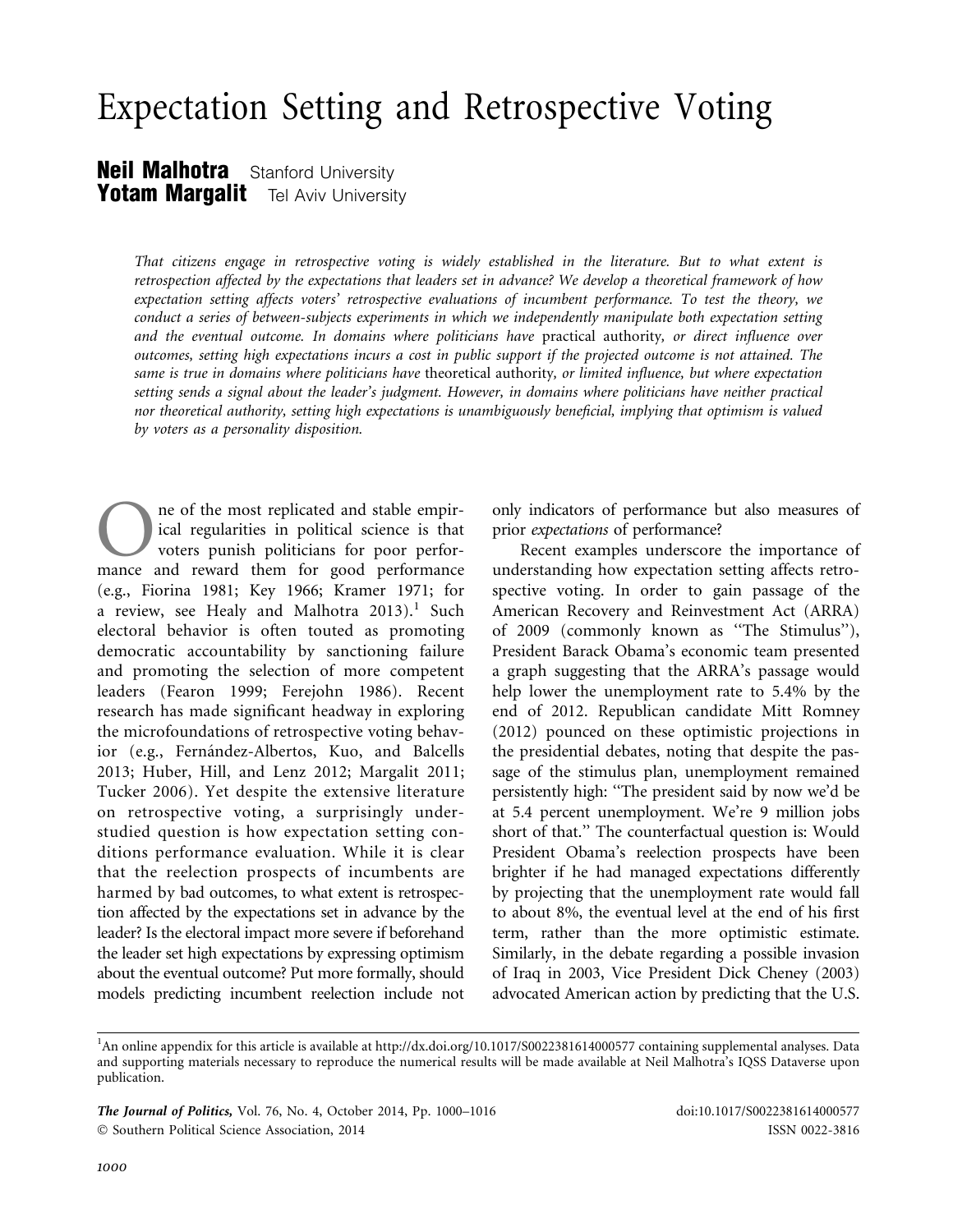# Expectation Setting and Retrospective Voting

**Neil Malhotra** Stanford University Yotam Margalit Tel Aviv University

> That citizens engage in retrospective voting is widely established in the literature. But to what extent is retrospection affected by the expectations that leaders set in advance? We develop a theoretical framework of how expectation setting affects voters' retrospective evaluations of incumbent performance. To test the theory, we conduct a series of between-subjects experiments in which we independently manipulate both expectation setting and the eventual outcome. In domains where politicians have practical authority, or direct influence over outcomes, setting high expectations incurs a cost in public support if the projected outcome is not attained. The same is true in domains where politicians have theoretical authority, or limited influence, but where expectation setting sends a signal about the leader's judgment. However, in domains where politicians have neither practical nor theoretical authority, setting high expectations is unambiguously beneficial, implying that optimism is valued by voters as a personality disposition.

One of the most replicated and stable empirical regularities in political science is that voters punish politicians for poor performance and reward them for good performance ical regularities in political science is that voters punish politicians for poor performance and reward them for good performance (e.g., Fiorina 1981; Key 1966; Kramer 1971; for a review, see Healy and Malhotra  $2013$ ).<sup>1</sup> Such electoral behavior is often touted as promoting democratic accountability by sanctioning failure and promoting the selection of more competent leaders (Fearon 1999; Ferejohn 1986). Recent research has made significant headway in exploring the microfoundations of retrospective voting behavior (e.g., Fernández-Albertos, Kuo, and Balcells 2013; Huber, Hill, and Lenz 2012; Margalit 2011; Tucker 2006). Yet despite the extensive literature on retrospective voting, a surprisingly understudied question is how expectation setting conditions performance evaluation. While it is clear that the reelection prospects of incumbents are harmed by bad outcomes, to what extent is retrospection affected by the expectations set in advance by the leader? Is the electoral impact more severe if beforehand the leader set high expectations by expressing optimism about the eventual outcome? Put more formally, should models predicting incumbent reelection include not

only indicators of performance but also measures of prior expectations of performance?

Recent examples underscore the importance of understanding how expectation setting affects retrospective voting. In order to gain passage of the American Recovery and Reinvestment Act (ARRA) of 2009 (commonly known as ''The Stimulus''), President Barack Obama's economic team presented a graph suggesting that the ARRA's passage would help lower the unemployment rate to 5.4% by the end of 2012. Republican candidate Mitt Romney (2012) pounced on these optimistic projections in the presidential debates, noting that despite the passage of the stimulus plan, unemployment remained persistently high: ''The president said by now we'd be at 5.4 percent unemployment. We're 9 million jobs short of that.'' The counterfactual question is: Would President Obama's reelection prospects have been brighter if he had managed expectations differently by projecting that the unemployment rate would fall to about 8%, the eventual level at the end of his first term, rather than the more optimistic estimate. Similarly, in the debate regarding a possible invasion of Iraq in 2003, Vice President Dick Cheney (2003) advocated American action by predicting that the U.S.

The Journal of Politics, Vol. 76, No. 4, October 2014, Pp. 1000–1016 doi:10.1017/S0022381614000577 © Southern Political Science Association, 2014 ISSN 0022-3816

<sup>&</sup>lt;sup>1</sup>An online appendix for this article is available at http://dx.doi.org/10.1017/S0022381614000577 containing supplemental analyses. Data and supporting materials necessary to reproduce the numerical results will be made available at Neil Malhotra's IQSS Dataverse upon publication.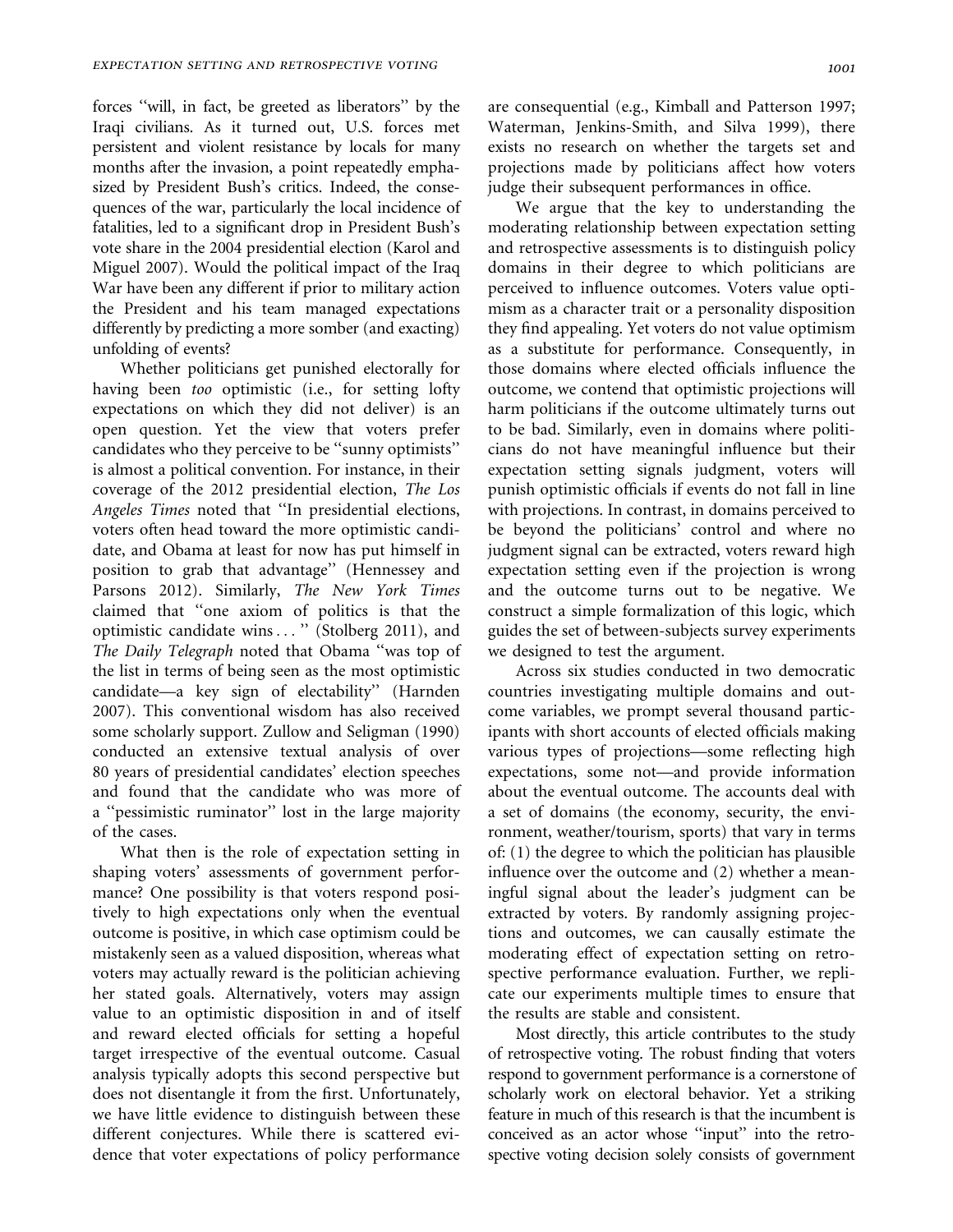forces ''will, in fact, be greeted as liberators'' by the Iraqi civilians. As it turned out, U.S. forces met persistent and violent resistance by locals for many months after the invasion, a point repeatedly emphasized by President Bush's critics. Indeed, the consequences of the war, particularly the local incidence of fatalities, led to a significant drop in President Bush's vote share in the 2004 presidential election (Karol and Miguel 2007). Would the political impact of the Iraq War have been any different if prior to military action the President and his team managed expectations differently by predicting a more somber (and exacting) unfolding of events?

Whether politicians get punished electorally for having been too optimistic (i.e., for setting lofty expectations on which they did not deliver) is an open question. Yet the view that voters prefer candidates who they perceive to be ''sunny optimists'' is almost a political convention. For instance, in their coverage of the 2012 presidential election, The Los Angeles Times noted that ''In presidential elections, voters often head toward the more optimistic candidate, and Obama at least for now has put himself in position to grab that advantage'' (Hennessey and Parsons 2012). Similarly, The New York Times claimed that ''one axiom of politics is that the optimistic candidate wins... '' (Stolberg 2011), and The Daily Telegraph noted that Obama ''was top of the list in terms of being seen as the most optimistic candidate—a key sign of electability'' (Harnden 2007). This conventional wisdom has also received some scholarly support. Zullow and Seligman (1990) conducted an extensive textual analysis of over 80 years of presidential candidates' election speeches and found that the candidate who was more of a ''pessimistic ruminator'' lost in the large majority of the cases.

What then is the role of expectation setting in shaping voters' assessments of government performance? One possibility is that voters respond positively to high expectations only when the eventual outcome is positive, in which case optimism could be mistakenly seen as a valued disposition, whereas what voters may actually reward is the politician achieving her stated goals. Alternatively, voters may assign value to an optimistic disposition in and of itself and reward elected officials for setting a hopeful target irrespective of the eventual outcome. Casual analysis typically adopts this second perspective but does not disentangle it from the first. Unfortunately, we have little evidence to distinguish between these different conjectures. While there is scattered evidence that voter expectations of policy performance are consequential (e.g., Kimball and Patterson 1997; Waterman, Jenkins-Smith, and Silva 1999), there exists no research on whether the targets set and projections made by politicians affect how voters judge their subsequent performances in office.

We argue that the key to understanding the moderating relationship between expectation setting and retrospective assessments is to distinguish policy domains in their degree to which politicians are perceived to influence outcomes. Voters value optimism as a character trait or a personality disposition they find appealing. Yet voters do not value optimism as a substitute for performance. Consequently, in those domains where elected officials influence the outcome, we contend that optimistic projections will harm politicians if the outcome ultimately turns out to be bad. Similarly, even in domains where politicians do not have meaningful influence but their expectation setting signals judgment, voters will punish optimistic officials if events do not fall in line with projections. In contrast, in domains perceived to be beyond the politicians' control and where no judgment signal can be extracted, voters reward high expectation setting even if the projection is wrong and the outcome turns out to be negative. We construct a simple formalization of this logic, which guides the set of between-subjects survey experiments we designed to test the argument.

Across six studies conducted in two democratic countries investigating multiple domains and outcome variables, we prompt several thousand participants with short accounts of elected officials making various types of projections—some reflecting high expectations, some not—and provide information about the eventual outcome. The accounts deal with a set of domains (the economy, security, the environment, weather/tourism, sports) that vary in terms of: (1) the degree to which the politician has plausible influence over the outcome and (2) whether a meaningful signal about the leader's judgment can be extracted by voters. By randomly assigning projections and outcomes, we can causally estimate the moderating effect of expectation setting on retrospective performance evaluation. Further, we replicate our experiments multiple times to ensure that the results are stable and consistent.

Most directly, this article contributes to the study of retrospective voting. The robust finding that voters respond to government performance is a cornerstone of scholarly work on electoral behavior. Yet a striking feature in much of this research is that the incumbent is conceived as an actor whose ''input'' into the retrospective voting decision solely consists of government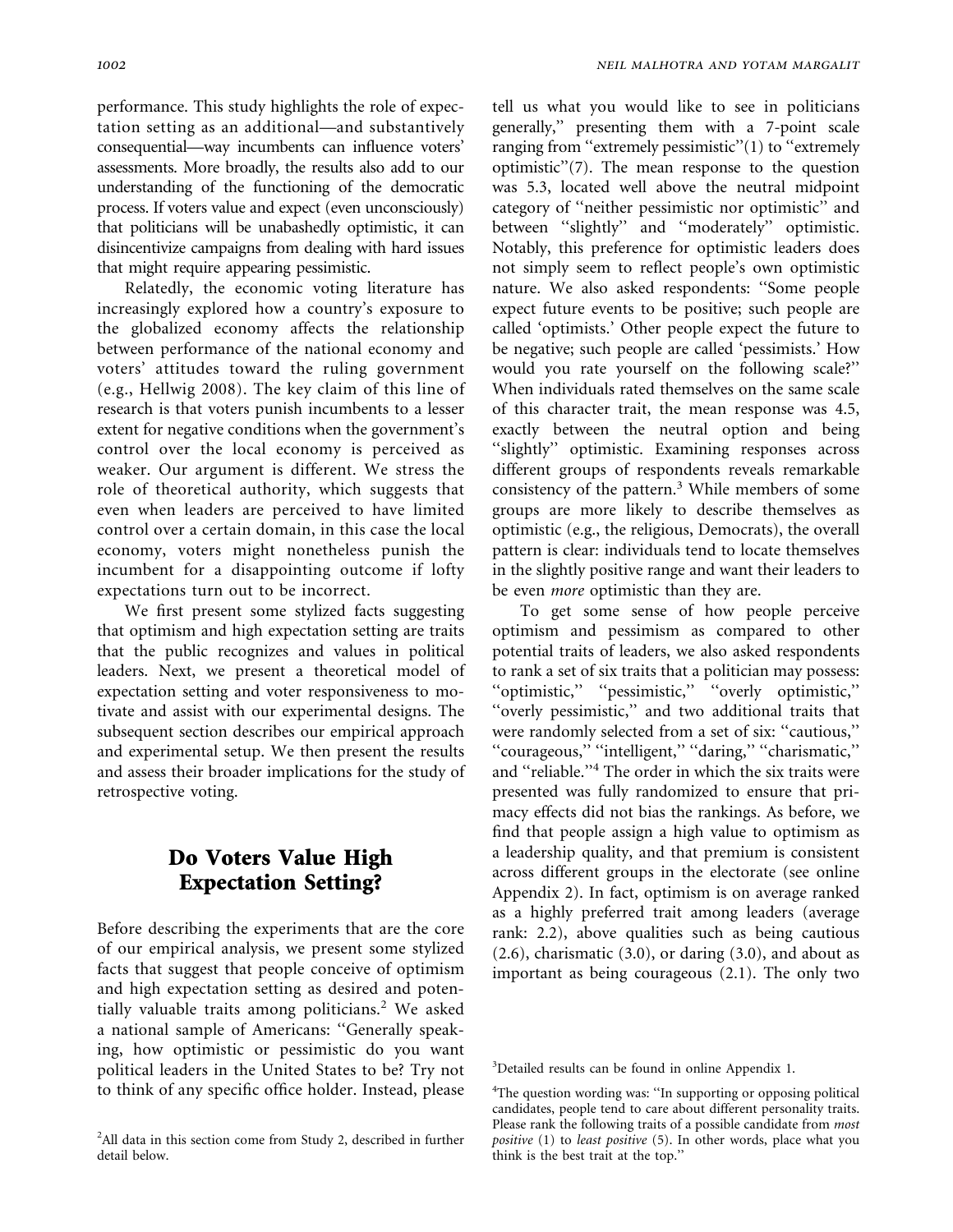performance. This study highlights the role of expectation setting as an additional—and substantively consequential—way incumbents can influence voters' assessments. More broadly, the results also add to our understanding of the functioning of the democratic process. If voters value and expect (even unconsciously) that politicians will be unabashedly optimistic, it can disincentivize campaigns from dealing with hard issues that might require appearing pessimistic.

Relatedly, the economic voting literature has increasingly explored how a country's exposure to the globalized economy affects the relationship between performance of the national economy and voters' attitudes toward the ruling government (e.g., Hellwig 2008). The key claim of this line of research is that voters punish incumbents to a lesser extent for negative conditions when the government's control over the local economy is perceived as weaker. Our argument is different. We stress the role of theoretical authority, which suggests that even when leaders are perceived to have limited control over a certain domain, in this case the local economy, voters might nonetheless punish the incumbent for a disappointing outcome if lofty expectations turn out to be incorrect.

We first present some stylized facts suggesting that optimism and high expectation setting are traits that the public recognizes and values in political leaders. Next, we present a theoretical model of expectation setting and voter responsiveness to motivate and assist with our experimental designs. The subsequent section describes our empirical approach and experimental setup. We then present the results and assess their broader implications for the study of retrospective voting.

## Do Voters Value High<br>Expectation Setting?  $\mathbf{F}$

Before describing the experiments that are the core of our empirical analysis, we present some stylized facts that suggest that people conceive of optimism and high expectation setting as desired and potentially valuable traits among politicians.<sup>2</sup> We asked a national sample of Americans: ''Generally speaking, how optimistic or pessimistic do you want political leaders in the United States to be? Try not to think of any specific office holder. Instead, please tell us what you would like to see in politicians generally,'' presenting them with a 7-point scale ranging from "extremely pessimistic"(1) to "extremely optimistic''(7). The mean response to the question was 5.3, located well above the neutral midpoint category of ''neither pessimistic nor optimistic'' and between ''slightly'' and ''moderately'' optimistic. Notably, this preference for optimistic leaders does not simply seem to reflect people's own optimistic nature. We also asked respondents: ''Some people expect future events to be positive; such people are called 'optimists.' Other people expect the future to be negative; such people are called 'pessimists.' How would you rate yourself on the following scale?'' When individuals rated themselves on the same scale of this character trait, the mean response was 4.5, exactly between the neutral option and being "slightly" optimistic. Examining responses across different groups of respondents reveals remarkable consistency of the pattern.3 While members of some groups are more likely to describe themselves as optimistic (e.g., the religious, Democrats), the overall pattern is clear: individuals tend to locate themselves in the slightly positive range and want their leaders to be even more optimistic than they are.

To get some sense of how people perceive optimism and pessimism as compared to other potential traits of leaders, we also asked respondents to rank a set of six traits that a politician may possess: ''optimistic,'' ''pessimistic,'' ''overly optimistic,'' "overly pessimistic," and two additional traits that were randomly selected from a set of six: ''cautious,'' ''courageous,'' ''intelligent,'' ''daring,'' ''charismatic,'' and ''reliable.''4 The order in which the six traits were presented was fully randomized to ensure that primacy effects did not bias the rankings. As before, we find that people assign a high value to optimism as a leadership quality, and that premium is consistent across different groups in the electorate (see online Appendix 2). In fact, optimism is on average ranked as a highly preferred trait among leaders (average rank: 2.2), above qualities such as being cautious  $(2.6)$ , charismatic  $(3.0)$ , or daring  $(3.0)$ , and about as important as being courageous (2.1). The only two

<sup>3</sup>Detailed results can be found in online Appendix 1.

<sup>&</sup>lt;sup>2</sup>All data in this section come from Study 2, described in further detail below.

<sup>&</sup>lt;sup>4</sup>The question wording was: "In supporting or opposing political candidates, people tend to care about different personality traits. Please rank the following traits of a possible candidate from *most* positive (1) to least positive (5). In other words, place what you think is the best trait at the top.''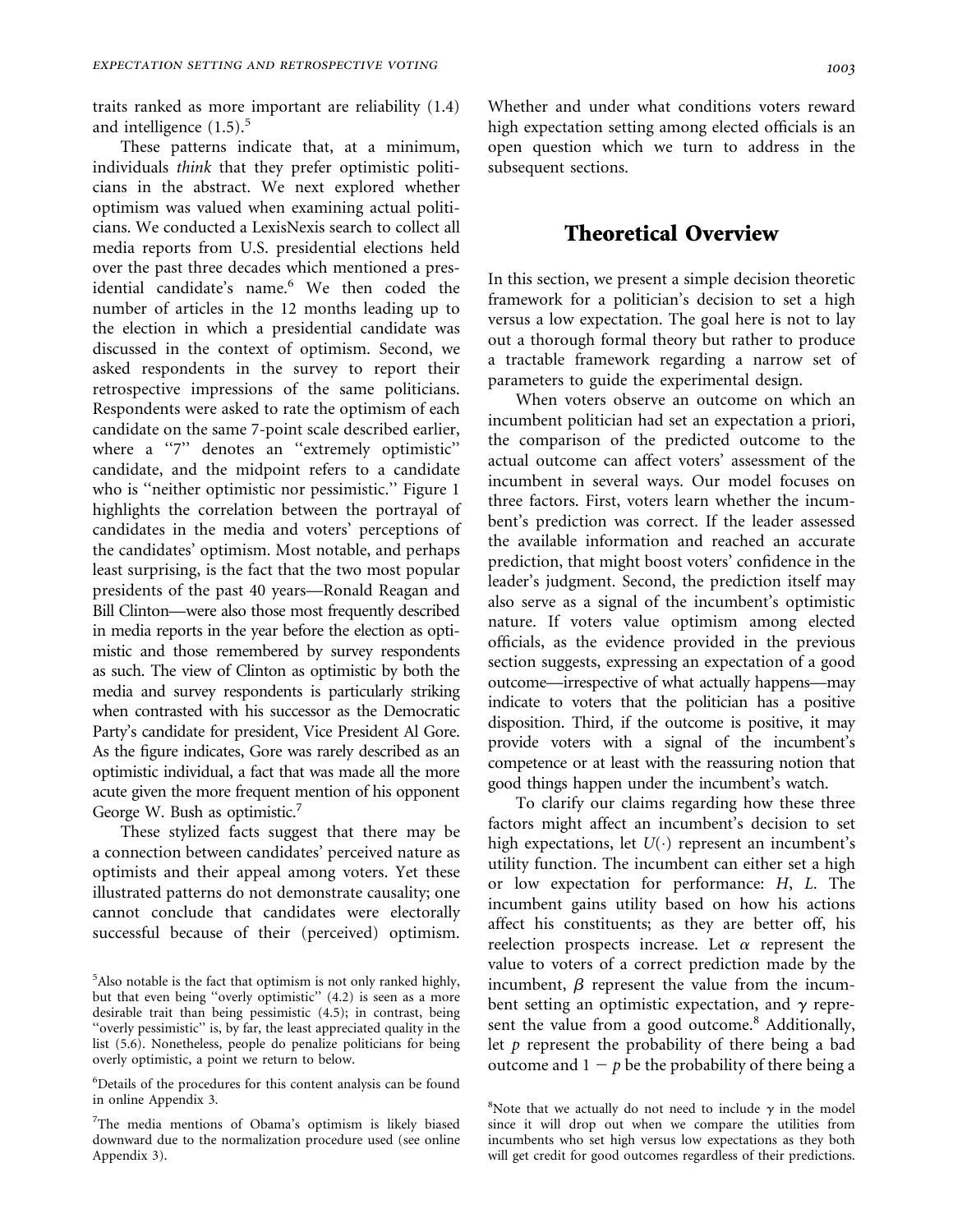traits ranked as more important are reliability (1.4) and intelligence  $(1.5).<sup>5</sup>$ 

These patterns indicate that, at a minimum, individuals think that they prefer optimistic politicians in the abstract. We next explored whether optimism was valued when examining actual politicians. We conducted a LexisNexis search to collect all media reports from U.S. presidential elections held over the past three decades which mentioned a presidential candidate's name.<sup>6</sup> We then coded the number of articles in the 12 months leading up to the election in which a presidential candidate was discussed in the context of optimism. Second, we asked respondents in the survey to report their retrospective impressions of the same politicians. Respondents were asked to rate the optimism of each candidate on the same 7-point scale described earlier, where a "7" denotes an "extremely optimistic" candidate, and the midpoint refers to a candidate who is "neither optimistic nor pessimistic." Figure 1 highlights the correlation between the portrayal of candidates in the media and voters' perceptions of the candidates' optimism. Most notable, and perhaps least surprising, is the fact that the two most popular presidents of the past 40 years—Ronald Reagan and Bill Clinton—were also those most frequently described in media reports in the year before the election as optimistic and those remembered by survey respondents as such. The view of Clinton as optimistic by both the media and survey respondents is particularly striking when contrasted with his successor as the Democratic Party's candidate for president, Vice President Al Gore. As the figure indicates, Gore was rarely described as an optimistic individual, a fact that was made all the more acute given the more frequent mention of his opponent George W. Bush as optimistic.<sup>7</sup>

These stylized facts suggest that there may be a connection between candidates' perceived nature as optimists and their appeal among voters. Yet these illustrated patterns do not demonstrate causality; one cannot conclude that candidates were electorally successful because of their (perceived) optimism. Whether and under what conditions voters reward high expectation setting among elected officials is an open question which we turn to address in the subsequent sections.

# Theoretical Overview

In this section, we present a simple decision theoretic framework for a politician's decision to set a high versus a low expectation. The goal here is not to lay out a thorough formal theory but rather to produce a tractable framework regarding a narrow set of parameters to guide the experimental design.

When voters observe an outcome on which an incumbent politician had set an expectation a priori, the comparison of the predicted outcome to the actual outcome can affect voters' assessment of the incumbent in several ways. Our model focuses on three factors. First, voters learn whether the incumbent's prediction was correct. If the leader assessed the available information and reached an accurate prediction, that might boost voters' confidence in the leader's judgment. Second, the prediction itself may also serve as a signal of the incumbent's optimistic nature. If voters value optimism among elected officials, as the evidence provided in the previous section suggests, expressing an expectation of a good outcome—irrespective of what actually happens—may indicate to voters that the politician has a positive disposition. Third, if the outcome is positive, it may provide voters with a signal of the incumbent's competence or at least with the reassuring notion that good things happen under the incumbent's watch.

To clarify our claims regarding how these three factors might affect an incumbent's decision to set high expectations, let  $U(\cdot)$  represent an incumbent's utility function. The incumbent can either set a high or low expectation for performance: H, L. The incumbent gains utility based on how his actions affect his constituents; as they are better off, his reelection prospects increase. Let  $\alpha$  represent the value to voters of a correct prediction made by the incumbent,  $\beta$  represent the value from the incumbent setting an optimistic expectation, and  $\gamma$  represent the value from a good outcome.<sup>8</sup> Additionally, let  $p$  represent the probability of there being a bad outcome and  $1 - p$  be the probability of there being a

<sup>&</sup>lt;sup>5</sup>Also notable is the fact that optimism is not only ranked highly, but that even being "overly optimistic" (4.2) is seen as a more desirable trait than being pessimistic (4.5); in contrast, being "overly pessimistic" is, by far, the least appreciated quality in the list (5.6). Nonetheless, people do penalize politicians for being overly optimistic, a point we return to below.

<sup>6</sup> Details of the procedures for this content analysis can be found in online Appendix 3.

<sup>&</sup>lt;sup>7</sup>The media mentions of Obama's optimism is likely biased downward due to the normalization procedure used (see online Appendix 3).

<sup>&</sup>lt;sup>8</sup>Note that we actually do not need to include  $\gamma$  in the model<br>since it will drop out when we compare the utilities from since it will drop out when we compare the utilities from incumbents who set high versus low expectations as they both will get credit for good outcomes regardless of their predictions.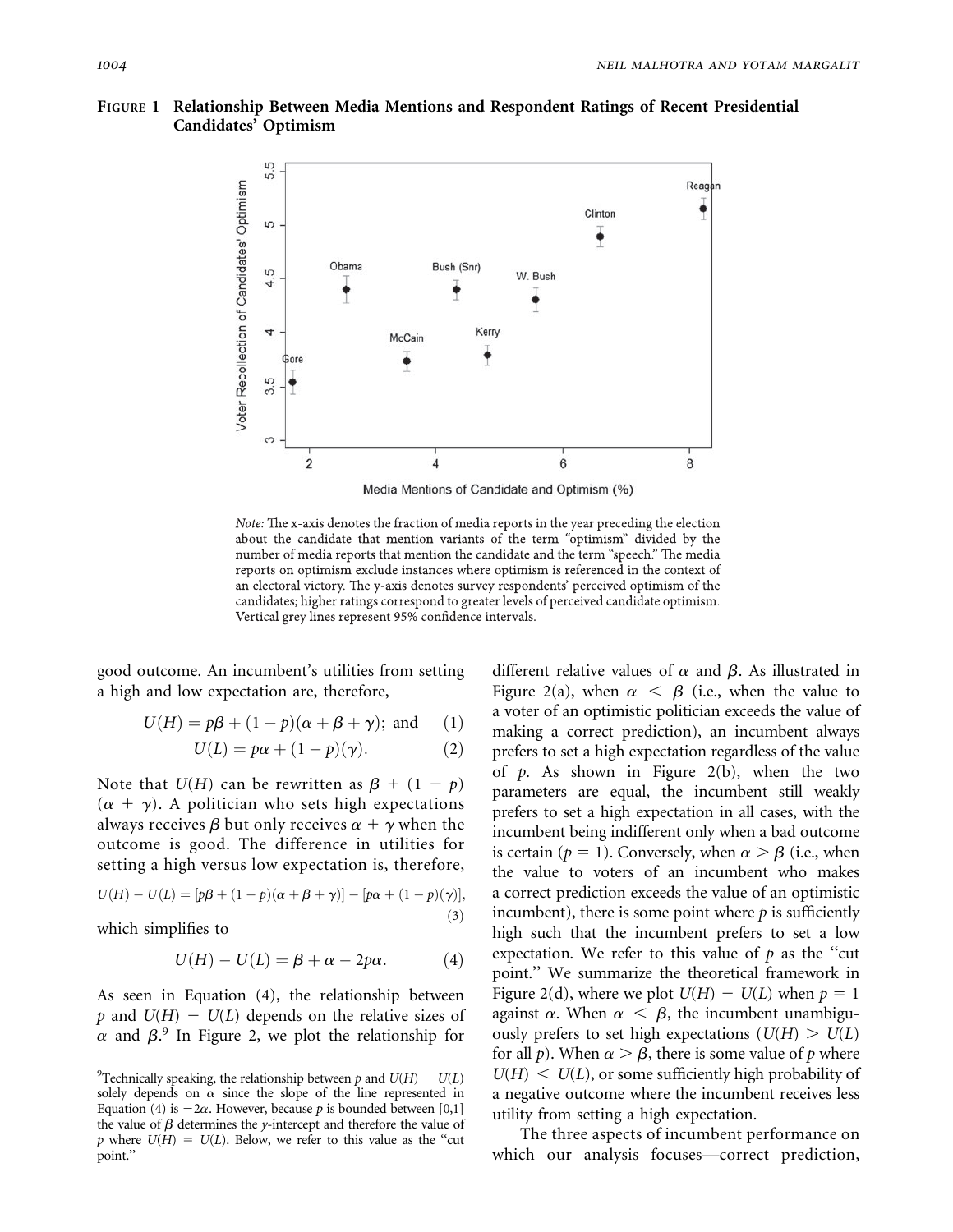#### FIGURE 1 Relationship Between Media Mentions and Respondent Ratings of Recent Presidential Candidates' Optimism



Note: The x-axis denotes the fraction of media reports in the year preceding the election about the candidate that mention variants of the term "optimism" divided by the number of media reports that mention the candidate and the term "speech." The media reports on optimism exclude instances where optimism is referenced in the context of an electoral victory. The y-axis denotes survey respondents' perceived optimism of the candidates; higher ratings correspond to greater levels of perceived candidate optimism. Vertical grey lines represent 95% confidence intervals.

good outcome. An incumbent's utilities from setting a high and low expectation are, therefore,

$$
U(H) = p\beta + (1 - p)(\alpha + \beta + \gamma); \text{ and } (1)
$$

$$
U(L) = p\alpha + (1 - p)(\gamma).
$$
 (2)

Note that  $U(H)$  can be rewritten as  $\beta + (1 - p)$  $(\alpha + \gamma)$ . A politician who sets high expectations always receives  $\beta$  but only receives  $\alpha + \gamma$  when the outcome is good. The difference in utilities for setting a high versus low expectation is, therefore,

$$
U(H) - U(L) = [p\beta + (1 - p)(\alpha + \beta + \gamma)] - [p\alpha + (1 - p)(\gamma)],
$$
  
which simplifies to

which simplifies to

$$
U(H) - U(L) = \beta + \alpha - 2p\alpha.
$$
 (4)

As seen in Equation (4), the relationship between p and  $U(H) - U(L)$  depends on the relative sizes of  $\alpha$  and  $\beta$ .<sup>9</sup> In Figure 2, we plot the relationship for

different relative values of  $\alpha$  and  $\beta$ . As illustrated in Figure 2(a), when  $\alpha < \beta$  (i.e., when the value to a voter of an optimistic politician exceeds the value of making a correct prediction), an incumbent always prefers to set a high expectation regardless of the value of  $p$ . As shown in Figure 2(b), when the two parameters are equal, the incumbent still weakly prefers to set a high expectation in all cases, with the incumbent being indifferent only when a bad outcome is certain ( $p = 1$ ). Conversely, when  $\alpha > \beta$  (i.e., when the value to voters of an incumbent who makes a correct prediction exceeds the value of an optimistic incumbent), there is some point where  $p$  is sufficiently high such that the incumbent prefers to set a low expectation. We refer to this value of  $p$  as the "cut point.'' We summarize the theoretical framework in Figure 2(d), where we plot  $U(H) - U(L)$  when  $p = 1$ against  $\alpha$ . When  $\alpha < \beta$ , the incumbent unambiguously prefers to set high expectations  $(U(H) > U(L))$ for all p). When  $\alpha > \beta$ , there is some value of p where  $U(H) < U(L)$ , or some sufficiently high probability of a negative outcome where the incumbent receives less utility from setting a high expectation.

The three aspects of incumbent performance on which our analysis focuses—correct prediction,

<sup>&</sup>lt;sup>9</sup>Technically speaking, the relationship between p and  $U(H) - U(L)$ solely depends on  $\alpha$  since the slope of the line represented in Equation (4) is  $-2\alpha$ . However, because p is bounded between [0,1] the value of  $\beta$  determines the y-intercept and therefore the value of p where  $U(H) = U(L)$ . Below, we refer to this value as the "cut point.''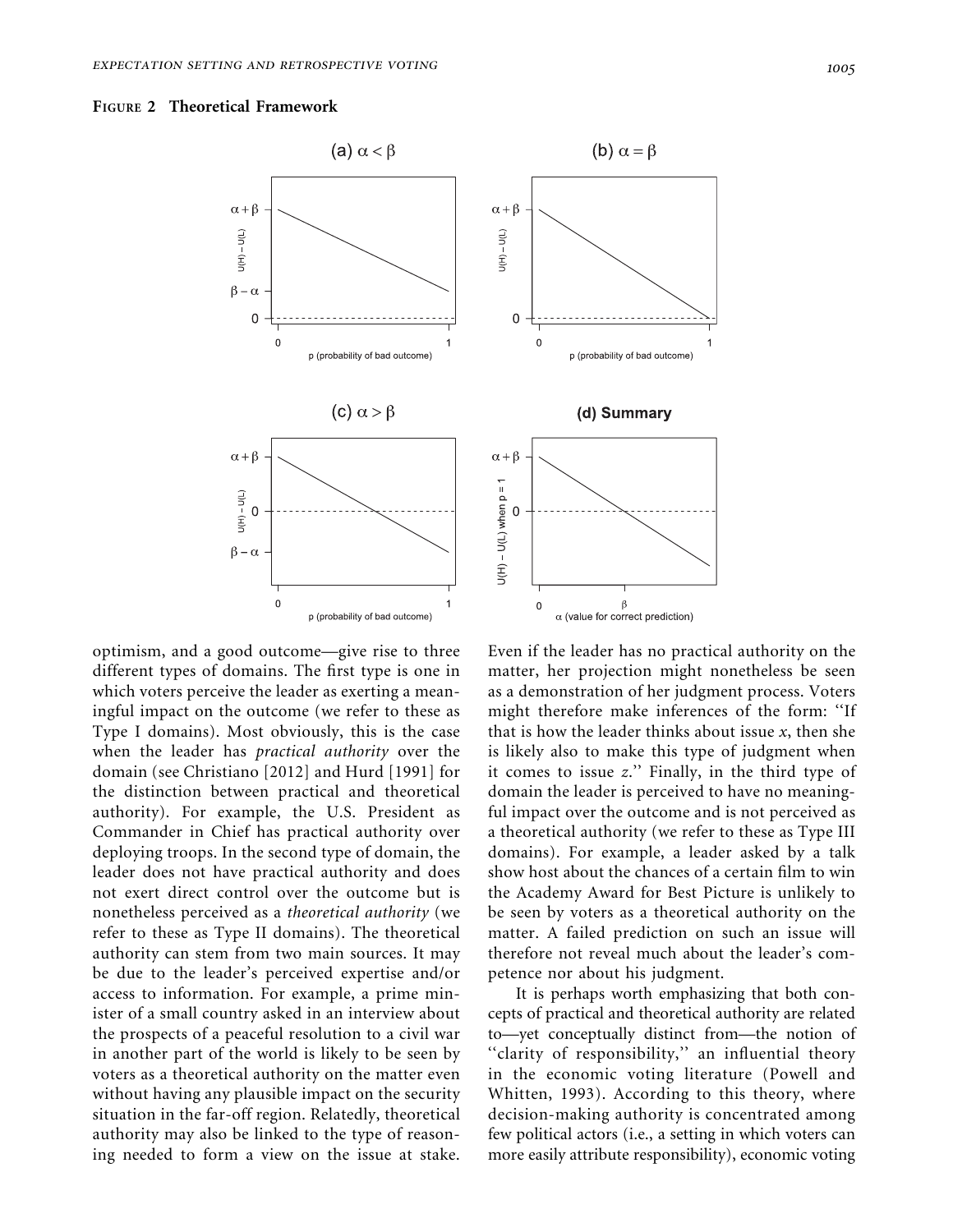

optimism, and a good outcome—give rise to three different types of domains. The first type is one in which voters perceive the leader as exerting a meaningful impact on the outcome (we refer to these as Type I domains). Most obviously, this is the case when the leader has practical authority over the domain (see Christiano [2012] and Hurd [1991] for the distinction between practical and theoretical authority). For example, the U.S. President as Commander in Chief has practical authority over deploying troops. In the second type of domain, the leader does not have practical authority and does not exert direct control over the outcome but is nonetheless perceived as a theoretical authority (we refer to these as Type II domains). The theoretical authority can stem from two main sources. It may be due to the leader's perceived expertise and/or access to information. For example, a prime minister of a small country asked in an interview about the prospects of a peaceful resolution to a civil war in another part of the world is likely to be seen by voters as a theoretical authority on the matter even without having any plausible impact on the security situation in the far-off region. Relatedly, theoretical authority may also be linked to the type of reasoning needed to form a view on the issue at stake.

Even if the leader has no practical authority on the matter, her projection might nonetheless be seen as a demonstration of her judgment process. Voters might therefore make inferences of the form: ''If that is how the leader thinks about issue  $x$ , then she is likely also to make this type of judgment when it comes to issue z.'' Finally, in the third type of domain the leader is perceived to have no meaningful impact over the outcome and is not perceived as a theoretical authority (we refer to these as Type III domains). For example, a leader asked by a talk show host about the chances of a certain film to win the Academy Award for Best Picture is unlikely to be seen by voters as a theoretical authority on the matter. A failed prediction on such an issue will therefore not reveal much about the leader's competence nor about his judgment.

It is perhaps worth emphasizing that both concepts of practical and theoretical authority are related to—yet conceptually distinct from—the notion of "clarity of responsibility," an influential theory in the economic voting literature (Powell and Whitten, 1993). According to this theory, where decision-making authority is concentrated among few political actors (i.e., a setting in which voters can more easily attribute responsibility), economic voting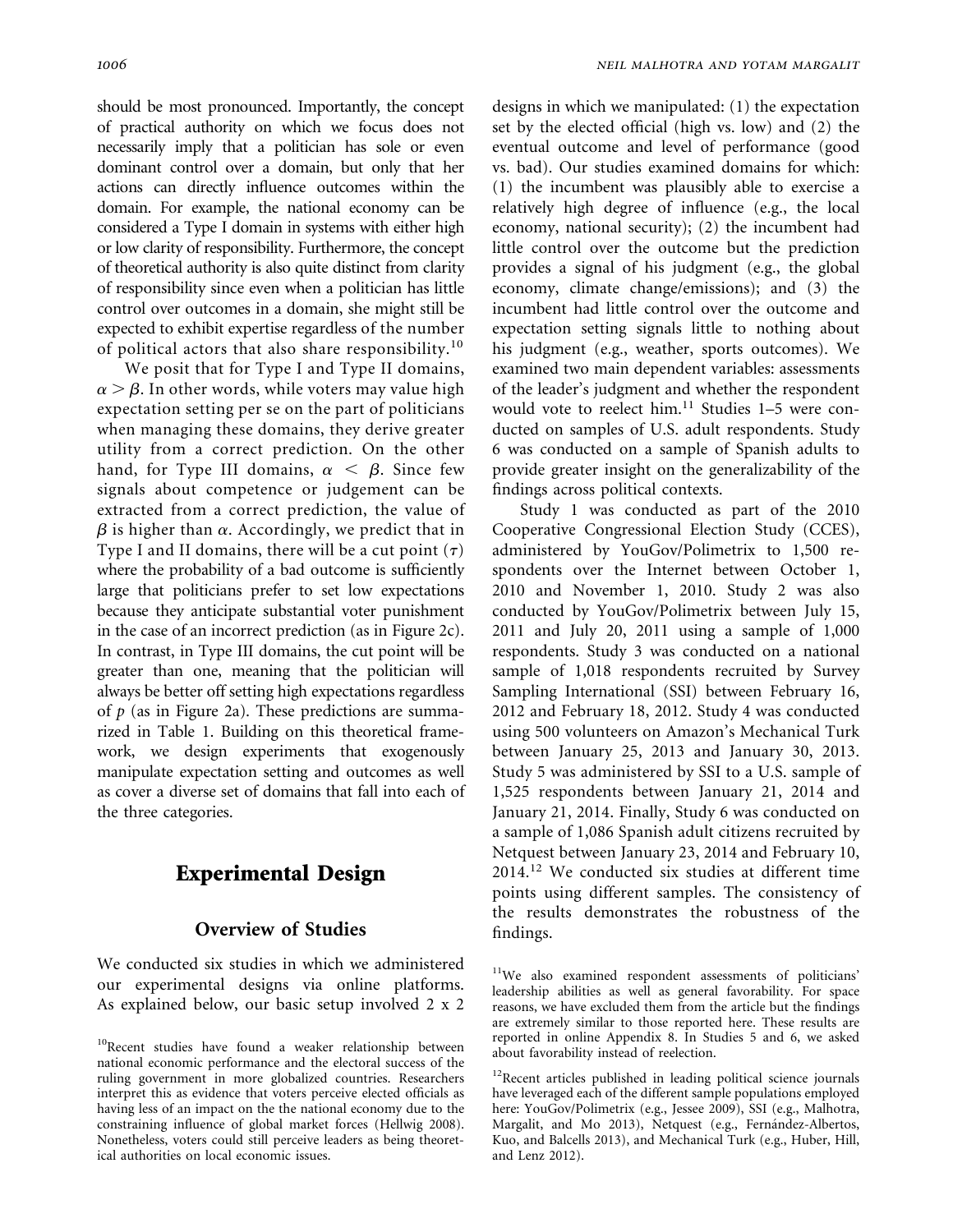should be most pronounced. Importantly, the concept of practical authority on which we focus does not necessarily imply that a politician has sole or even dominant control over a domain, but only that her actions can directly influence outcomes within the domain. For example, the national economy can be considered a Type I domain in systems with either high or low clarity of responsibility. Furthermore, the concept of theoretical authority is also quite distinct from clarity of responsibility since even when a politician has little control over outcomes in a domain, she might still be expected to exhibit expertise regardless of the number of political actors that also share responsibility.<sup>10</sup>

We posit that for Type I and Type II domains,  $\alpha$  >  $\beta$ . In other words, while voters may value high expectation setting per se on the part of politicians when managing these domains, they derive greater utility from a correct prediction. On the other hand, for Type III domains,  $\alpha < \beta$ . Since few signals about competence or judgement can be extracted from a correct prediction, the value of  $\beta$  is higher than  $\alpha$ . Accordingly, we predict that in Type I and II domains, there will be a cut point  $(\tau)$ where the probability of a bad outcome is sufficiently large that politicians prefer to set low expectations because they anticipate substantial voter punishment in the case of an incorrect prediction (as in Figure 2c). In contrast, in Type III domains, the cut point will be greater than one, meaning that the politician will always be better off setting high expectations regardless of  $p$  (as in Figure 2a). These predictions are summarized in Table 1. Building on this theoretical framework, we design experiments that exogenously manipulate expectation setting and outcomes as well as cover a diverse set of domains that fall into each of the three categories.

# $\mathbf{F}$

### Overview of Studies

We conducted six studies in which we administered our experimental designs via online platforms. As explained below, our basic setup involved 2 x 2 designs in which we manipulated: (1) the expectation set by the elected official (high vs. low) and (2) the eventual outcome and level of performance (good vs. bad). Our studies examined domains for which: (1) the incumbent was plausibly able to exercise a relatively high degree of influence (e.g., the local economy, national security); (2) the incumbent had little control over the outcome but the prediction provides a signal of his judgment (e.g., the global economy, climate change/emissions); and (3) the incumbent had little control over the outcome and expectation setting signals little to nothing about his judgment (e.g., weather, sports outcomes). We examined two main dependent variables: assessments of the leader's judgment and whether the respondent would vote to reelect him.<sup>11</sup> Studies 1-5 were conducted on samples of U.S. adult respondents. Study 6 was conducted on a sample of Spanish adults to provide greater insight on the generalizability of the findings across political contexts.

Study 1 was conducted as part of the 2010 Cooperative Congressional Election Study (CCES), administered by YouGov/Polimetrix to 1,500 respondents over the Internet between October 1, 2010 and November 1, 2010. Study 2 was also conducted by YouGov/Polimetrix between July 15, 2011 and July 20, 2011 using a sample of 1,000 respondents. Study 3 was conducted on a national sample of 1,018 respondents recruited by Survey Sampling International (SSI) between February 16, 2012 and February 18, 2012. Study 4 was conducted using 500 volunteers on Amazon's Mechanical Turk between January 25, 2013 and January 30, 2013. Study 5 was administered by SSI to a U.S. sample of 1,525 respondents between January 21, 2014 and January 21, 2014. Finally, Study 6 was conducted on a sample of 1,086 Spanish adult citizens recruited by Netquest between January 23, 2014 and February 10, 2014.<sup>12</sup> We conducted six studies at different time points using different samples. The consistency of the results demonstrates the robustness of the findings.

11We also examined respondent assessments of politicians' leadership abilities as well as general favorability. For space reasons, we have excluded them from the article but the findings are extremely similar to those reported here. These results are reported in online Appendix 8. In Studies 5 and 6, we asked about favorability instead of reelection.

<sup>&</sup>lt;sup>10</sup>Recent studies have found a weaker relationship between national economic performance and the electoral success of the ruling government in more globalized countries. Researchers interpret this as evidence that voters perceive elected officials as having less of an impact on the the national economy due to the constraining influence of global market forces (Hellwig 2008). Nonetheless, voters could still perceive leaders as being theoretical authorities on local economic issues.

<sup>&</sup>lt;sup>12</sup>Recent articles published in leading political science journals have leveraged each of the different sample populations employed here: YouGov/Polimetrix (e.g., Jessee 2009), SSI (e.g., Malhotra, Margalit, and Mo 2013), Netquest (e.g., Fernández-Albertos, Kuo, and Balcells 2013), and Mechanical Turk (e.g., Huber, Hill, and Lenz 2012).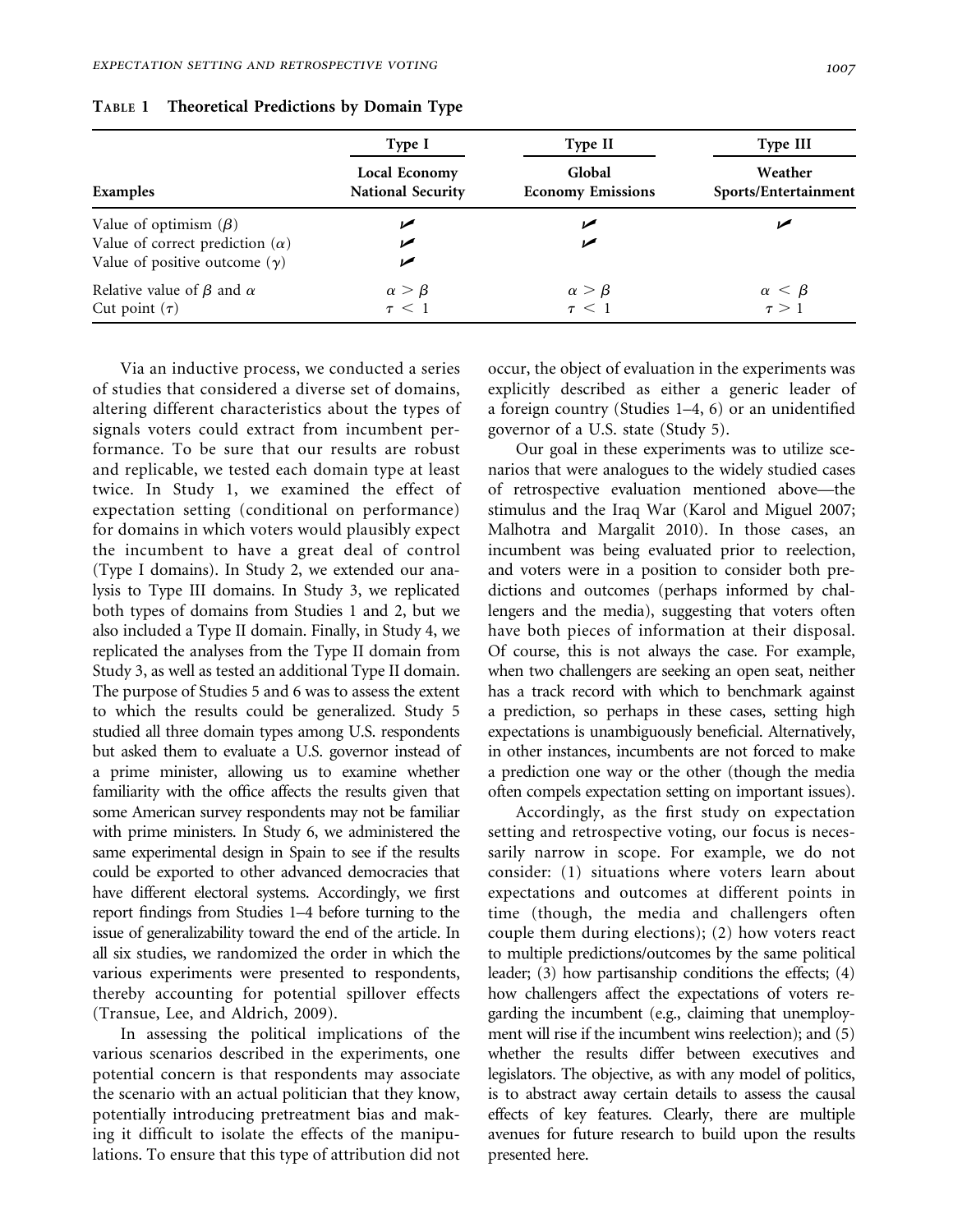|                                        | Type I                                    | Type II                            | Type III                        |
|----------------------------------------|-------------------------------------------|------------------------------------|---------------------------------|
| Examples                               | Local Economy<br><b>National Security</b> | Global<br><b>Economy Emissions</b> | Weather<br>Sports/Entertainment |
| Value of optimism $(\beta)$            | مما                                       | مما                                |                                 |
| Value of correct prediction $(\alpha)$ | مما                                       | ↙                                  |                                 |
| Value of positive outcome $(\gamma)$   | ✔                                         |                                    |                                 |
| Relative value of $\beta$ and $\alpha$ | $\alpha > \beta$                          | $\alpha > \beta$                   | $\alpha < \beta$                |
| Cut point $(\tau)$                     | $\tau \leq 1$                             | $\tau < 1$                         | $\tau > 1$                      |

TABLE 1 Theoretical Predictions by Domain Type

Via an inductive process, we conducted a series of studies that considered a diverse set of domains, altering different characteristics about the types of signals voters could extract from incumbent performance. To be sure that our results are robust and replicable, we tested each domain type at least twice. In Study 1, we examined the effect of expectation setting (conditional on performance) for domains in which voters would plausibly expect the incumbent to have a great deal of control (Type I domains). In Study 2, we extended our analysis to Type III domains. In Study 3, we replicated both types of domains from Studies 1 and 2, but we also included a Type II domain. Finally, in Study 4, we replicated the analyses from the Type II domain from Study 3, as well as tested an additional Type II domain. The purpose of Studies 5 and 6 was to assess the extent to which the results could be generalized. Study 5 studied all three domain types among U.S. respondents but asked them to evaluate a U.S. governor instead of a prime minister, allowing us to examine whether familiarity with the office affects the results given that some American survey respondents may not be familiar with prime ministers. In Study 6, we administered the same experimental design in Spain to see if the results could be exported to other advanced democracies that have different electoral systems. Accordingly, we first report findings from Studies 1–4 before turning to the issue of generalizability toward the end of the article. In all six studies, we randomized the order in which the various experiments were presented to respondents, thereby accounting for potential spillover effects (Transue, Lee, and Aldrich, 2009).

In assessing the political implications of the various scenarios described in the experiments, one potential concern is that respondents may associate the scenario with an actual politician that they know, potentially introducing pretreatment bias and making it difficult to isolate the effects of the manipulations. To ensure that this type of attribution did not

occur, the object of evaluation in the experiments was explicitly described as either a generic leader of a foreign country (Studies 1–4, 6) or an unidentified governor of a U.S. state (Study 5).

Our goal in these experiments was to utilize scenarios that were analogues to the widely studied cases of retrospective evaluation mentioned above—the stimulus and the Iraq War (Karol and Miguel 2007; Malhotra and Margalit 2010). In those cases, an incumbent was being evaluated prior to reelection, and voters were in a position to consider both predictions and outcomes (perhaps informed by challengers and the media), suggesting that voters often have both pieces of information at their disposal. Of course, this is not always the case. For example, when two challengers are seeking an open seat, neither has a track record with which to benchmark against a prediction, so perhaps in these cases, setting high expectations is unambiguously beneficial. Alternatively, in other instances, incumbents are not forced to make a prediction one way or the other (though the media often compels expectation setting on important issues).

Accordingly, as the first study on expectation setting and retrospective voting, our focus is necessarily narrow in scope. For example, we do not consider: (1) situations where voters learn about expectations and outcomes at different points in time (though, the media and challengers often couple them during elections); (2) how voters react to multiple predictions/outcomes by the same political leader; (3) how partisanship conditions the effects; (4) how challengers affect the expectations of voters regarding the incumbent (e.g., claiming that unemployment will rise if the incumbent wins reelection); and (5) whether the results differ between executives and legislators. The objective, as with any model of politics, is to abstract away certain details to assess the causal effects of key features. Clearly, there are multiple avenues for future research to build upon the results presented here.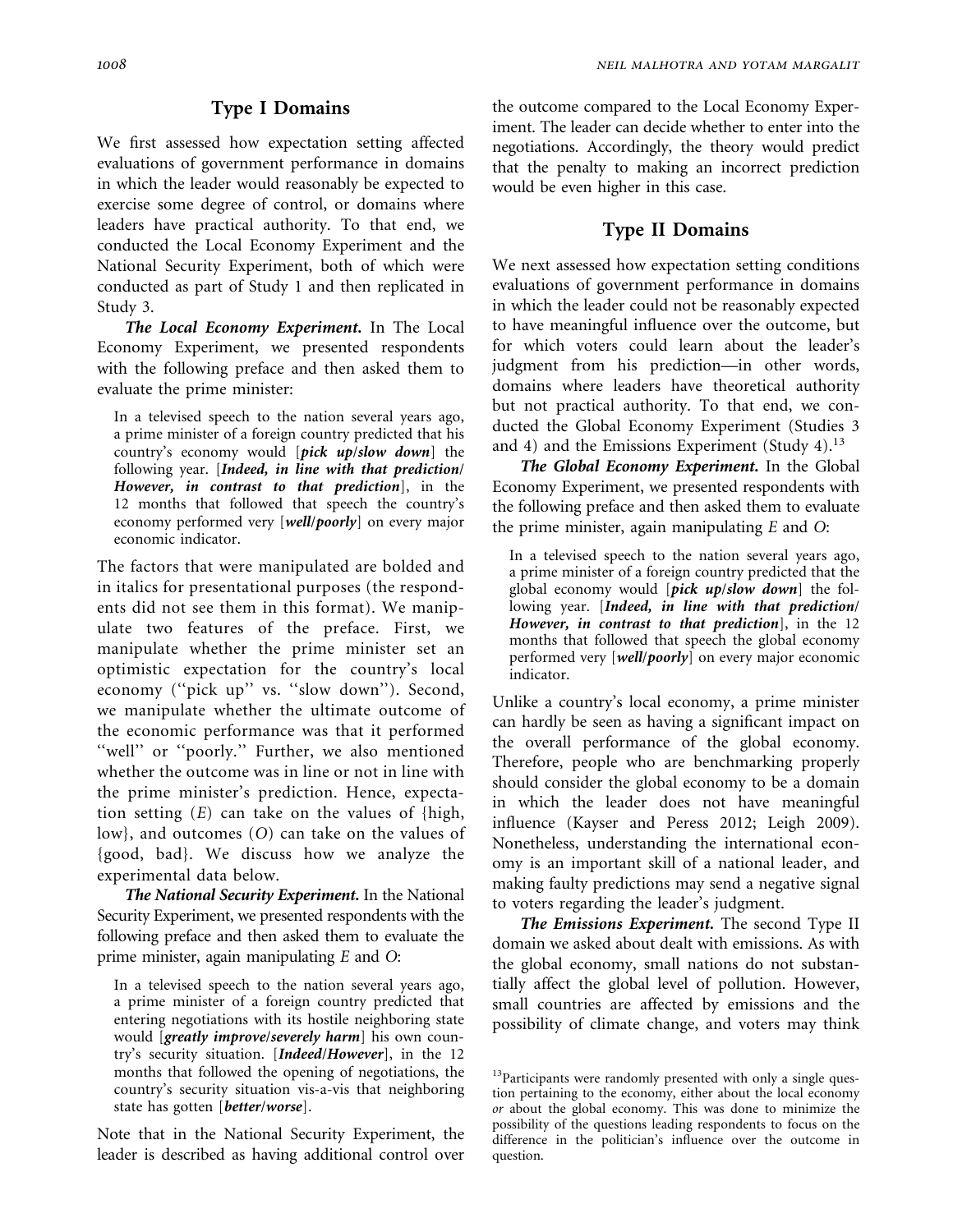### Type I Domains

We first assessed how expectation setting affected evaluations of government performance in domains in which the leader would reasonably be expected to exercise some degree of control, or domains where leaders have practical authority. To that end, we conducted the Local Economy Experiment and the National Security Experiment, both of which were conducted as part of Study 1 and then replicated in Study 3.

The Local Economy Experiment. In The Local Economy Experiment, we presented respondents with the following preface and then asked them to evaluate the prime minister:

In a televised speech to the nation several years ago, a prime minister of a foreign country predicted that his country's economy would [pick up/slow down] the following year. [Indeed, in line with that prediction/ However, in contrast to that prediction], in the 12 months that followed that speech the country's economy performed very [well/poorly] on every major economic indicator.

The factors that were manipulated are bolded and in italics for presentational purposes (the respondents did not see them in this format). We manipulate two features of the preface. First, we manipulate whether the prime minister set an optimistic expectation for the country's local economy (''pick up'' vs. ''slow down''). Second, we manipulate whether the ultimate outcome of the economic performance was that it performed "well" or "poorly." Further, we also mentioned whether the outcome was in line or not in line with the prime minister's prediction. Hence, expectation setting  $(E)$  can take on the values of {high, low}, and outcomes (O) can take on the values of {good, bad}. We discuss how we analyze the experimental data below.

The National Security Experiment. In the National Security Experiment, we presented respondents with the following preface and then asked them to evaluate the prime minister, again manipulating E and O:

In a televised speech to the nation several years ago, a prime minister of a foreign country predicted that entering negotiations with its hostile neighboring state would [greatly *improve/severely harm*] his own country's security situation. [Indeed/However], in the 12 months that followed the opening of negotiations, the country's security situation vis-a-vis that neighboring state has gotten [better/worse].

Note that in the National Security Experiment, the leader is described as having additional control over the outcome compared to the Local Economy Experiment. The leader can decide whether to enter into the negotiations. Accordingly, the theory would predict that the penalty to making an incorrect prediction would be even higher in this case.

### Type II Domains

We next assessed how expectation setting conditions evaluations of government performance in domains in which the leader could not be reasonably expected to have meaningful influence over the outcome, but for which voters could learn about the leader's judgment from his prediction—in other words, domains where leaders have theoretical authority but not practical authority. To that end, we conducted the Global Economy Experiment (Studies 3 and 4) and the Emissions Experiment (Study 4). $^{13}$ 

The Global Economy Experiment. In the Global Economy Experiment, we presented respondents with the following preface and then asked them to evaluate the prime minister, again manipulating  $E$  and  $O$ :

In a televised speech to the nation several years ago, a prime minister of a foreign country predicted that the global economy would  $[pick \; up/slow \; down]$  the following year. [Indeed, in line with that prediction/ However, in contrast to that prediction, in the 12 months that followed that speech the global economy performed very [well/poorly] on every major economic indicator.

Unlike a country's local economy, a prime minister can hardly be seen as having a significant impact on the overall performance of the global economy. Therefore, people who are benchmarking properly should consider the global economy to be a domain in which the leader does not have meaningful influence (Kayser and Peress 2012; Leigh 2009). Nonetheless, understanding the international economy is an important skill of a national leader, and making faulty predictions may send a negative signal to voters regarding the leader's judgment.

The Emissions Experiment. The second Type II domain we asked about dealt with emissions. As with the global economy, small nations do not substantially affect the global level of pollution. However, small countries are affected by emissions and the possibility of climate change, and voters may think

<sup>&</sup>lt;sup>13</sup>Participants were randomly presented with only a single question pertaining to the economy, either about the local economy or about the global economy. This was done to minimize the possibility of the questions leading respondents to focus on the difference in the politician's influence over the outcome in question.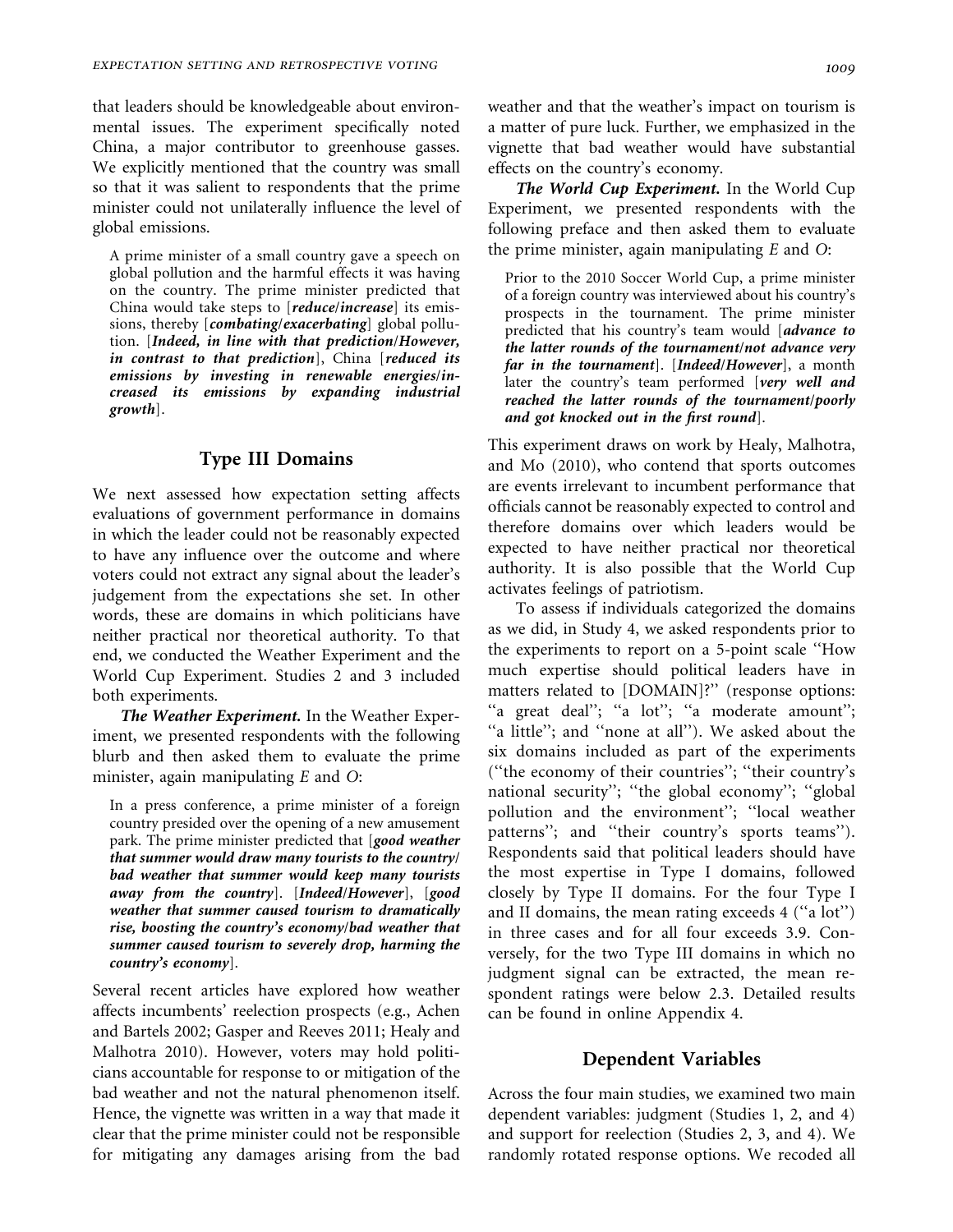that leaders should be knowledgeable about environmental issues. The experiment specifically noted China, a major contributor to greenhouse gasses. We explicitly mentioned that the country was small so that it was salient to respondents that the prime minister could not unilaterally influence the level of global emissions.

A prime minister of a small country gave a speech on global pollution and the harmful effects it was having on the country. The prime minister predicted that China would take steps to [reduce/increase] its emissions, thereby [combating/exacerbating] global pollution. [Indeed, in line with that prediction/However, in contrast to that prediction], China [reduced its emissions by investing in renewable energies/increased its emissions by expanding industrial growth].

#### Type III Domains

We next assessed how expectation setting affects evaluations of government performance in domains in which the leader could not be reasonably expected to have any influence over the outcome and where voters could not extract any signal about the leader's judgement from the expectations she set. In other words, these are domains in which politicians have neither practical nor theoretical authority. To that end, we conducted the Weather Experiment and the World Cup Experiment. Studies 2 and 3 included both experiments.

The Weather Experiment. In the Weather Experiment, we presented respondents with the following blurb and then asked them to evaluate the prime minister, again manipulating E and O:

In a press conference, a prime minister of a foreign country presided over the opening of a new amusement park. The prime minister predicted that [good weather that summer would draw many tourists to the country/ bad weather that summer would keep many tourists away from the country]. [Indeed/However], [good weather that summer caused tourism to dramatically rise, boosting the country's economy/bad weather that summer caused tourism to severely drop, harming the country's economy].

Several recent articles have explored how weather affects incumbents' reelection prospects (e.g., Achen and Bartels 2002; Gasper and Reeves 2011; Healy and Malhotra 2010). However, voters may hold politicians accountable for response to or mitigation of the bad weather and not the natural phenomenon itself. Hence, the vignette was written in a way that made it clear that the prime minister could not be responsible for mitigating any damages arising from the bad

weather and that the weather's impact on tourism is a matter of pure luck. Further, we emphasized in the vignette that bad weather would have substantial effects on the country's economy.

The World Cup Experiment. In the World Cup Experiment, we presented respondents with the following preface and then asked them to evaluate the prime minister, again manipulating  $E$  and  $O$ :

Prior to the 2010 Soccer World Cup, a prime minister of a foreign country was interviewed about his country's prospects in the tournament. The prime minister predicted that his country's team would [advance to the latter rounds of the tournament/not advance very far in the tournament]. [Indeed/However], a month later the country's team performed [very well and reached the latter rounds of the tournament/poorly and got knocked out in the first round].

This experiment draws on work by Healy, Malhotra, and Mo (2010), who contend that sports outcomes are events irrelevant to incumbent performance that officials cannot be reasonably expected to control and therefore domains over which leaders would be expected to have neither practical nor theoretical authority. It is also possible that the World Cup activates feelings of patriotism.

To assess if individuals categorized the domains as we did, in Study 4, we asked respondents prior to the experiments to report on a 5-point scale ''How much expertise should political leaders have in matters related to [DOMAIN]?'' (response options: "a great deal"; "a lot"; "a moderate amount"; "a little"; and "none at all"). We asked about the six domains included as part of the experiments (''the economy of their countries''; ''their country's national security''; ''the global economy''; ''global pollution and the environment''; ''local weather patterns''; and ''their country's sports teams''). Respondents said that political leaders should have the most expertise in Type I domains, followed closely by Type II domains. For the four Type I and II domains, the mean rating exceeds 4 (''a lot'') in three cases and for all four exceeds 3.9. Conversely, for the two Type III domains in which no judgment signal can be extracted, the mean respondent ratings were below 2.3. Detailed results can be found in online Appendix 4.

#### Dependent Variables

Across the four main studies, we examined two main dependent variables: judgment (Studies 1, 2, and 4) and support for reelection (Studies 2, 3, and 4). We randomly rotated response options. We recoded all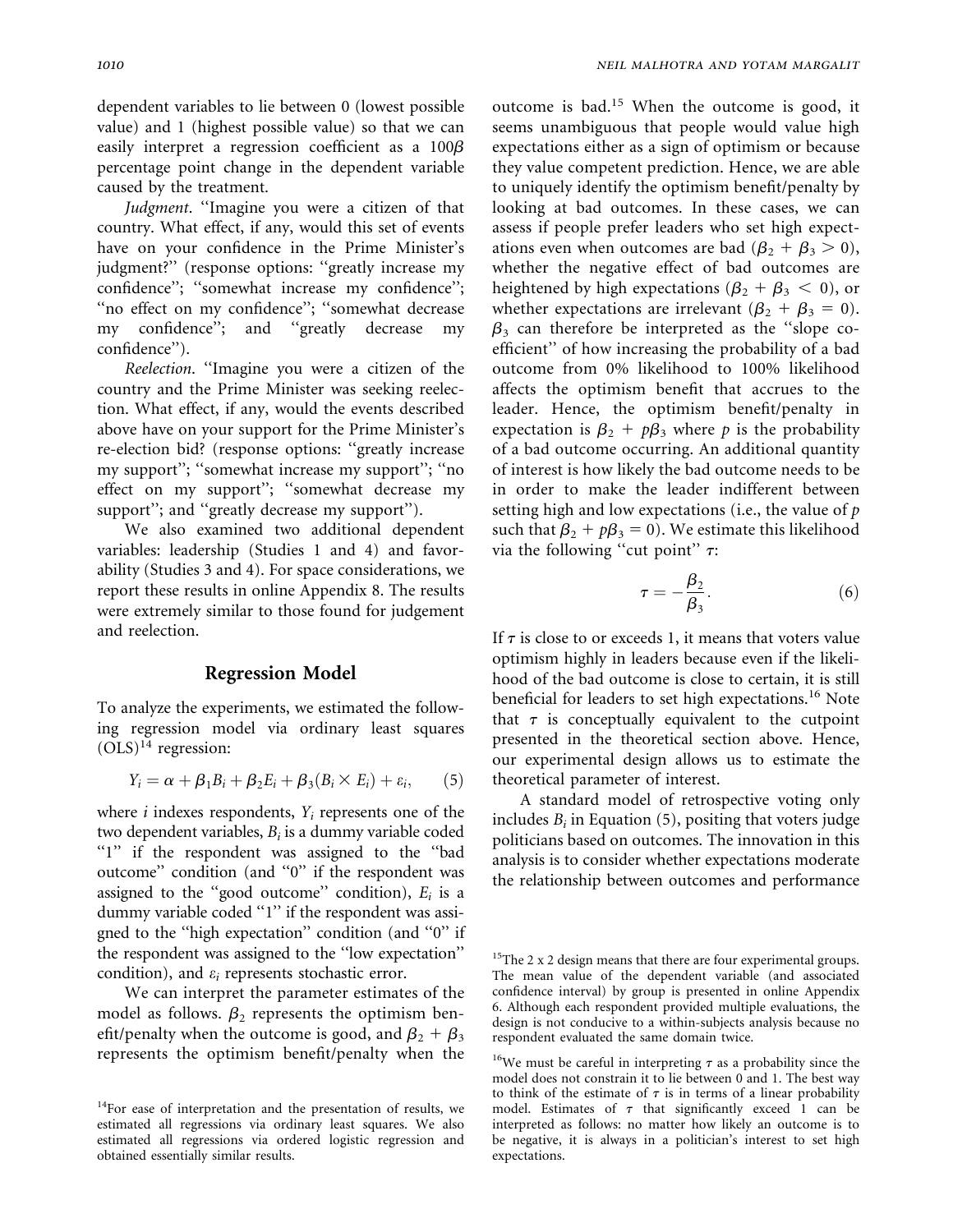Judgment. ''Imagine you were a citizen of that country. What effect, if any, would this set of events have on your confidence in the Prime Minister's judgment?'' (response options: ''greatly increase my confidence''; ''somewhat increase my confidence''; "no effect on my confidence"; "somewhat decrease my confidence''; and ''greatly decrease my confidence'').

Reelection. ''Imagine you were a citizen of the country and the Prime Minister was seeking reelection. What effect, if any, would the events described above have on your support for the Prime Minister's re-election bid? (response options: ''greatly increase my support"; "somewhat increase my support"; "no effect on my support''; ''somewhat decrease my support''; and ''greatly decrease my support'').

We also examined two additional dependent variables: leadership (Studies 1 and 4) and favorability (Studies 3 and 4). For space considerations, we report these results in online Appendix 8. The results were extremely similar to those found for judgement and reelection.

#### Regression Model

To analyze the experiments, we estimated the following regression model via ordinary least squares  $(OLS)^{14}$  regression:

$$
Y_i = \alpha + \beta_1 B_i + \beta_2 E_i + \beta_3 (B_i \times E_i) + \varepsilon_i, \qquad (5)
$$

where  $i$  indexes respondents,  $Y_i$  represents one of the two dependent variables,  $B_i$  is a dummy variable coded "1" if the respondent was assigned to the "bad outcome'' condition (and ''0'' if the respondent was assigned to the "good outcome" condition),  $E_i$  is a dummy variable coded ''1'' if the respondent was assigned to the ''high expectation'' condition (and ''0'' if the respondent was assigned to the ''low expectation'' condition), and  $\varepsilon_i$  represents stochastic error.

We can interpret the parameter estimates of the model as follows.  $\beta_2$  represents the optimism benefit/penalty when the outcome is good, and  $\beta_2 + \beta_3$ represents the optimism benefit/penalty when the

outcome is bad.<sup>15</sup> When the outcome is good, it seems unambiguous that people would value high expectations either as a sign of optimism or because they value competent prediction. Hence, we are able to uniquely identify the optimism benefit/penalty by looking at bad outcomes. In these cases, we can assess if people prefer leaders who set high expectations even when outcomes are bad  $(\beta_2 + \beta_3 > 0)$ , whether the negative effect of bad outcomes are heightened by high expectations ( $\beta_2 + \beta_3 < 0$ ), or whether expectations are irrelevant  $(\beta_2 + \beta_3 = 0)$ .  $\beta_3$  can therefore be interpreted as the "slope coefficient'' of how increasing the probability of a bad outcome from 0% likelihood to 100% likelihood affects the optimism benefit that accrues to the leader. Hence, the optimism benefit/penalty in expectation is  $\beta_2 + p\beta_3$  where p is the probability of a bad outcome occurring. An additional quantity of interest is how likely the bad outcome needs to be in order to make the leader indifferent between setting high and low expectations (i.e., the value of  $p$ such that  $\beta_2 + p\beta_3 = 0$ . We estimate this likelihood via the following "cut point"  $\tau$ :

$$
\tau = -\frac{\beta_2}{\beta_3}.\tag{6}
$$

If  $\tau$  is close to or exceeds 1, it means that voters value optimism highly in leaders because even if the likelihood of the bad outcome is close to certain, it is still beneficial for leaders to set high expectations.<sup>16</sup> Note that  $\tau$  is conceptually equivalent to the cutpoint presented in the theoretical section above. Hence, our experimental design allows us to estimate the theoretical parameter of interest.

A standard model of retrospective voting only includes  $B_i$  in Equation (5), positing that voters judge politicians based on outcomes. The innovation in this analysis is to consider whether expectations moderate the relationship between outcomes and performance

 $14$ For ease of interpretation and the presentation of results, we estimated all regressions via ordinary least squares. We also estimated all regressions via ordered logistic regression and obtained essentially similar results.

<sup>&</sup>lt;sup>15</sup>The 2 x 2 design means that there are four experimental groups. The mean value of the dependent variable (and associated confidence interval) by group is presented in online Appendix 6. Although each respondent provided multiple evaluations, the design is not conducive to a within-subjects analysis because no respondent evaluated the same domain twice.

 $^{16}\rm{We}$  must be careful in interpreting  $\tau$  as a probability since the model does not constrain it to lie between 0 and 1. The best way to think of the estimate of  $\tau$  is in terms of a linear probability model. Estimates of  $\tau$  that significantly exceed 1 can be interpreted as follows: no matter how likely an outcome is to be negative, it is always in a politician's interest to set high expectations.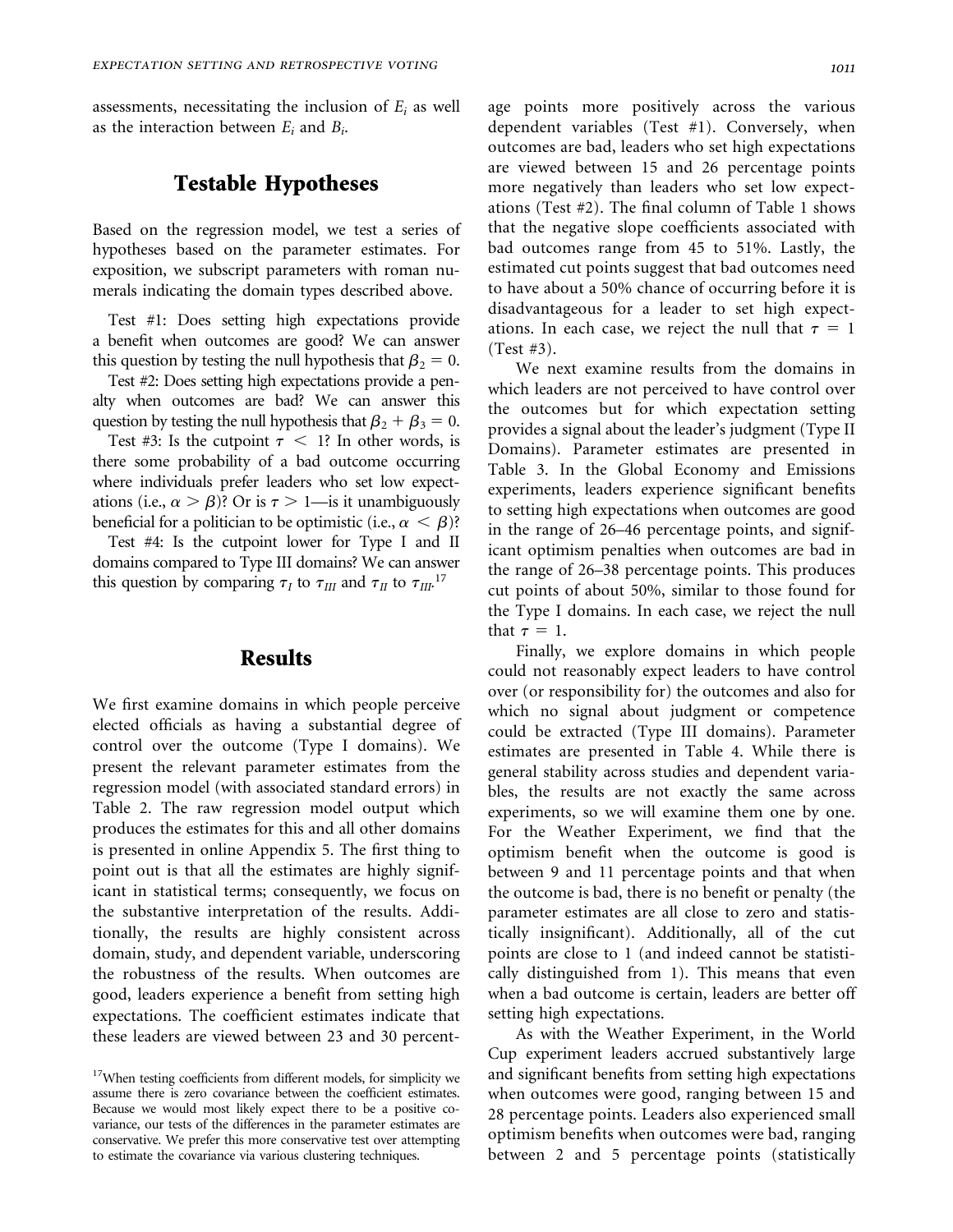assessments, necessitating the inclusion of  $E_i$  as well as the interaction between  $E_i$  and  $B_i$ .

### Testable Hypotheses

Based on the regression model, we test a series of hypotheses based on the parameter estimates. For exposition, we subscript parameters with roman numerals indicating the domain types described above.

Test #1: Does setting high expectations provide a benefit when outcomes are good? We can answer this question by testing the null hypothesis that  $\beta_2 = 0$ .

Test #2: Does setting high expectations provide a penalty when outcomes are bad? We can answer this question by testing the null hypothesis that  $\beta_2 + \beta_3 = 0$ .

Test #3: Is the cutpoint  $\tau$  < 1? In other words, is there some probability of a bad outcome occurring where individuals prefer leaders who set low expectations (i.e.,  $\alpha > \beta$ )? Or is  $\tau > 1$ —is it unambiguously beneficial for a politician to be optimistic (i.e.,  $\alpha < \beta$ )?

Test #4: Is the cutpoint lower for Type I and II domains compared to Type III domains? We can answer this question by comparing  $\tau_I$  to  $\tau_{III}$  and  $\tau_{II}$  to  $\tau_{III}$ .<sup>17</sup>

# Results

We first examine domains in which people perceive elected officials as having a substantial degree of control over the outcome (Type I domains). We present the relevant parameter estimates from the regression model (with associated standard errors) in Table 2. The raw regression model output which produces the estimates for this and all other domains is presented in online Appendix 5. The first thing to point out is that all the estimates are highly significant in statistical terms; consequently, we focus on the substantive interpretation of the results. Additionally, the results are highly consistent across domain, study, and dependent variable, underscoring the robustness of the results. When outcomes are good, leaders experience a benefit from setting high expectations. The coefficient estimates indicate that these leaders are viewed between 23 and 30 percentage points more positively across the various dependent variables (Test #1). Conversely, when outcomes are bad, leaders who set high expectations are viewed between 15 and 26 percentage points more negatively than leaders who set low expectations (Test #2). The final column of Table 1 shows that the negative slope coefficients associated with bad outcomes range from 45 to 51%. Lastly, the estimated cut points suggest that bad outcomes need to have about a 50% chance of occurring before it is disadvantageous for a leader to set high expectations. In each case, we reject the null that  $\tau = 1$ (Test #3).

We next examine results from the domains in which leaders are not perceived to have control over the outcomes but for which expectation setting provides a signal about the leader's judgment (Type II Domains). Parameter estimates are presented in Table 3. In the Global Economy and Emissions experiments, leaders experience significant benefits to setting high expectations when outcomes are good in the range of 26–46 percentage points, and significant optimism penalties when outcomes are bad in the range of 26–38 percentage points. This produces cut points of about 50%, similar to those found for the Type I domains. In each case, we reject the null that  $\tau = 1$ .

Finally, we explore domains in which people could not reasonably expect leaders to have control over (or responsibility for) the outcomes and also for which no signal about judgment or competence could be extracted (Type III domains). Parameter estimates are presented in Table 4. While there is general stability across studies and dependent variables, the results are not exactly the same across experiments, so we will examine them one by one. For the Weather Experiment, we find that the optimism benefit when the outcome is good is between 9 and 11 percentage points and that when the outcome is bad, there is no benefit or penalty (the parameter estimates are all close to zero and statistically insignificant). Additionally, all of the cut points are close to 1 (and indeed cannot be statistically distinguished from 1). This means that even when a bad outcome is certain, leaders are better off setting high expectations.

As with the Weather Experiment, in the World Cup experiment leaders accrued substantively large and significant benefits from setting high expectations when outcomes were good, ranging between 15 and 28 percentage points. Leaders also experienced small optimism benefits when outcomes were bad, ranging between 2 and 5 percentage points (statistically

<sup>&</sup>lt;sup>17</sup>When testing coefficients from different models, for simplicity we assume there is zero covariance between the coefficient estimates. Because we would most likely expect there to be a positive covariance, our tests of the differences in the parameter estimates are conservative. We prefer this more conservative test over attempting to estimate the covariance via various clustering techniques.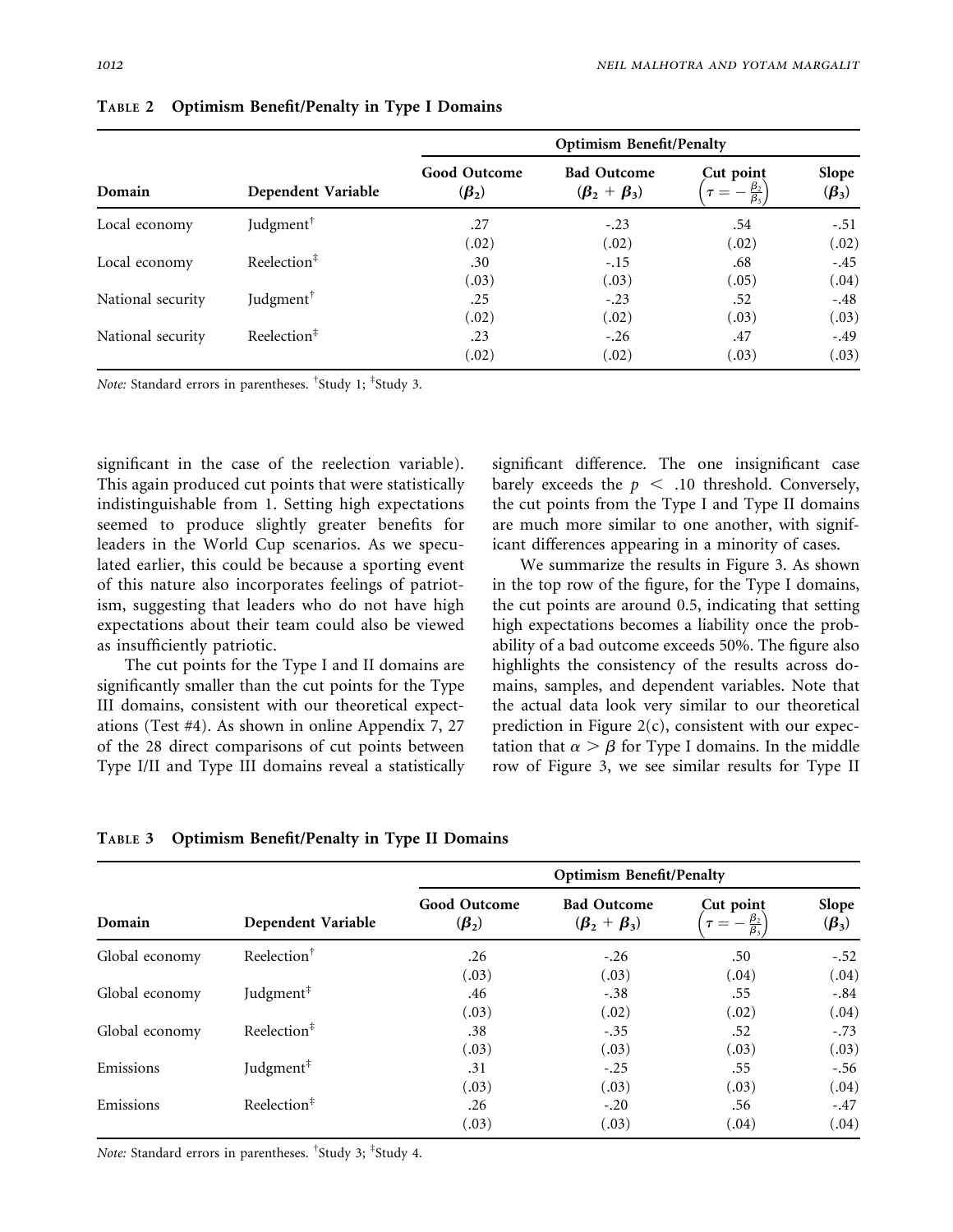| Domain            | Dependent Variable      | <b>Optimism Benefit/Penalty</b>                 |                                                                       |                                              |                                   |  |
|-------------------|-------------------------|-------------------------------------------------|-----------------------------------------------------------------------|----------------------------------------------|-----------------------------------|--|
|                   |                         | <b>Good Outcome</b><br>$(\boldsymbol{\beta}_2)$ | <b>Bad Outcome</b><br>$(\boldsymbol{\beta}_2 + \boldsymbol{\beta}_3)$ | Cut point<br>$\tau=-\frac{\beta_2}{\beta_3}$ | Slope<br>$(\boldsymbol{\beta}_3)$ |  |
| Local economy     | Judgment <sup>†</sup>   | .27                                             | $-.23$                                                                | .54                                          | $-.51$                            |  |
|                   |                         | (.02)                                           | (.02)                                                                 | (.02)                                        | (.02)                             |  |
| Local economy     | Reelection <sup>#</sup> | .30                                             | $-.15$                                                                | .68                                          | $-.45$                            |  |
|                   |                         | (.03)                                           | (.03)                                                                 | (.05)                                        | (.04)                             |  |
| National security | Judgment <sup>†</sup>   | .25                                             | $-.23$                                                                | .52                                          | $-.48$                            |  |
|                   |                         | (.02)                                           | (.02)                                                                 | (.03)                                        | (.03)                             |  |
| National security | Reelection <sup>‡</sup> | .23                                             | $-.26$                                                                | .47                                          | $-.49$                            |  |
|                   |                         | (.02)                                           | (.02)                                                                 | (.03)                                        | (.03)                             |  |

TABLE 2 Optimism Benefit/Penalty in Type I Domains

Note: Standard errors in parentheses. <sup>†</sup>Study 1; <sup>‡</sup>Study 3.

significant in the case of the reelection variable). This again produced cut points that were statistically indistinguishable from 1. Setting high expectations seemed to produce slightly greater benefits for leaders in the World Cup scenarios. As we speculated earlier, this could be because a sporting event of this nature also incorporates feelings of patriotism, suggesting that leaders who do not have high expectations about their team could also be viewed as insufficiently patriotic.

The cut points for the Type I and II domains are significantly smaller than the cut points for the Type III domains, consistent with our theoretical expectations (Test #4). As shown in online Appendix 7, 27 of the 28 direct comparisons of cut points between Type I/II and Type III domains reveal a statistically significant difference. The one insignificant case barely exceeds the  $p < .10$  threshold. Conversely, the cut points from the Type I and Type II domains are much more similar to one another, with significant differences appearing in a minority of cases.

We summarize the results in Figure 3. As shown in the top row of the figure, for the Type I domains, the cut points are around 0.5, indicating that setting high expectations becomes a liability once the probability of a bad outcome exceeds 50%. The figure also highlights the consistency of the results across domains, samples, and dependent variables. Note that the actual data look very similar to our theoretical prediction in Figure 2(c), consistent with our expectation that  $\alpha > \beta$  for Type I domains. In the middle row of Figure 3, we see similar results for Type II

|  |  | TABLE 3 Optimism Benefit/Penalty in Type II Domains |  |  |  |  |
|--|--|-----------------------------------------------------|--|--|--|--|
|--|--|-----------------------------------------------------|--|--|--|--|

| Domain         | Dependent Variable                   | <b>Optimism Benefit/Penalty</b>                 |                                           |                                                 |                                   |  |
|----------------|--------------------------------------|-------------------------------------------------|-------------------------------------------|-------------------------------------------------|-----------------------------------|--|
|                |                                      | <b>Good Outcome</b><br>$(\boldsymbol{\beta}_2)$ | <b>Bad Outcome</b><br>$(\beta_2+\beta_3)$ | Cut point<br>$\beta_2$<br>$\tau =$<br>$\beta_3$ | Slope<br>$(\boldsymbol{\beta}_3)$ |  |
| Global economy | Reelection <sup><math>†</math></sup> | .26                                             | $-.26$                                    | .50                                             | $-.52$                            |  |
|                |                                      | (.03)                                           | (.03)                                     | (.04)                                           | (.04)                             |  |
| Global economy | Judgment <sup>#</sup>                | .46                                             | $-.38$                                    | .55                                             | $-.84$                            |  |
|                |                                      | (.03)                                           | (.02)                                     | (.02)                                           | (.04)                             |  |
| Global economy | Reelection <sup>#</sup>              | .38                                             | $-.35$                                    | .52                                             | $-.73$                            |  |
|                |                                      | (.03)                                           | (.03)                                     | (.03)                                           | (.03)                             |  |
| Emissions      | Judgment <sup>‡</sup>                | .31                                             | $-.25$                                    | .55                                             | $-.56$                            |  |
|                |                                      | (.03)                                           | (.03)                                     | (.03)                                           | (.04)                             |  |
| Emissions      | Reelection <sup>#</sup>              | .26                                             | $-.20$                                    | .56                                             | $-.47$                            |  |
|                |                                      | (.03)                                           | (.03)                                     | (.04)                                           | (.04)                             |  |

Note: Standard errors in parentheses. <sup>†</sup>Study 3; <sup>‡</sup>Study 4.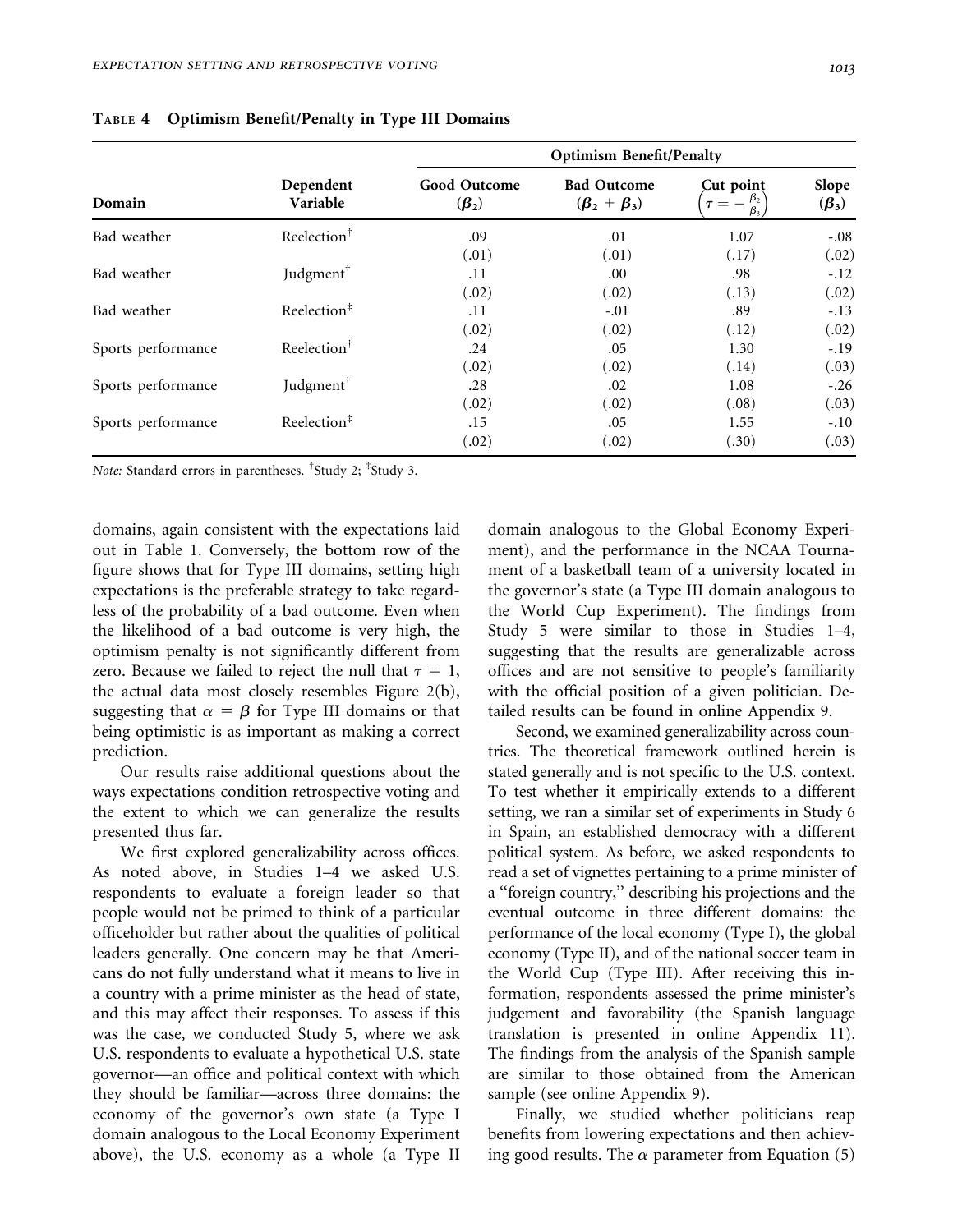| Domain             | Dependent<br>Variable   | <b>Optimism Benefit/Penalty</b>          |                                                                       |                                                                    |                                   |  |
|--------------------|-------------------------|------------------------------------------|-----------------------------------------------------------------------|--------------------------------------------------------------------|-----------------------------------|--|
|                    |                         | Good Outcome<br>$(\boldsymbol{\beta}_2)$ | <b>Bad Outcome</b><br>$(\boldsymbol{\beta}_2 + \boldsymbol{\beta}_3)$ | Cut point<br>$\frac{\beta_2}{\beta_3}$<br>$\overline{\phantom{m}}$ | Slope<br>$(\boldsymbol{\beta}_3)$ |  |
| Bad weather        | Reelection <sup>†</sup> | .09                                      | .01                                                                   | 1.07                                                               | $-.08$                            |  |
|                    |                         | (.01)                                    | (.01)                                                                 | (.17)                                                              | (.02)                             |  |
| Bad weather        | Judgment <sup>†</sup>   | .11                                      | .00.                                                                  | .98                                                                | $-.12$                            |  |
|                    |                         | (.02)                                    | (.02)                                                                 | (.13)                                                              | (.02)                             |  |
| Bad weather        | Reelection <sup>#</sup> | .11                                      | $-.01$                                                                | .89                                                                | $-.13$                            |  |
|                    |                         | (.02)                                    | (.02)                                                                 | (.12)                                                              | (.02)                             |  |
| Sports performance | Reelection <sup>†</sup> | .24                                      | .05                                                                   | 1.30                                                               | $-.19$                            |  |
|                    |                         | (.02)                                    | (.02)                                                                 | (.14)                                                              | (.03)                             |  |
| Sports performance | Judgment <sup>†</sup>   | .28                                      | .02                                                                   | 1.08                                                               | $-.26$                            |  |
|                    |                         | (.02)                                    | (.02)                                                                 | (.08)                                                              | (.03)                             |  |
| Sports performance | Reelection <sup>#</sup> | .15                                      | .05                                                                   | 1.55                                                               | $-.10$                            |  |
|                    |                         | (.02)                                    | (.02)                                                                 | (.30)                                                              | (.03)                             |  |

TABLE 4 Optimism Benefit/Penalty in Type III Domains

Note: Standard errors in parentheses. <sup>†</sup>Study 2; <sup>‡</sup>Study 3.

domains, again consistent with the expectations laid out in Table 1. Conversely, the bottom row of the figure shows that for Type III domains, setting high expectations is the preferable strategy to take regardless of the probability of a bad outcome. Even when the likelihood of a bad outcome is very high, the optimism penalty is not significantly different from zero. Because we failed to reject the null that  $\tau = 1$ , the actual data most closely resembles Figure 2(b), suggesting that  $\alpha = \beta$  for Type III domains or that being optimistic is as important as making a correct prediction.

Our results raise additional questions about the ways expectations condition retrospective voting and the extent to which we can generalize the results presented thus far.

We first explored generalizability across offices. As noted above, in Studies 1–4 we asked U.S. respondents to evaluate a foreign leader so that people would not be primed to think of a particular officeholder but rather about the qualities of political leaders generally. One concern may be that Americans do not fully understand what it means to live in a country with a prime minister as the head of state, and this may affect their responses. To assess if this was the case, we conducted Study 5, where we ask U.S. respondents to evaluate a hypothetical U.S. state governor—an office and political context with which they should be familiar—across three domains: the economy of the governor's own state (a Type I domain analogous to the Local Economy Experiment above), the U.S. economy as a whole (a Type II domain analogous to the Global Economy Experiment), and the performance in the NCAA Tournament of a basketball team of a university located in the governor's state (a Type III domain analogous to the World Cup Experiment). The findings from Study 5 were similar to those in Studies 1–4, suggesting that the results are generalizable across offices and are not sensitive to people's familiarity with the official position of a given politician. Detailed results can be found in online Appendix 9.

Second, we examined generalizability across countries. The theoretical framework outlined herein is stated generally and is not specific to the U.S. context. To test whether it empirically extends to a different setting, we ran a similar set of experiments in Study 6 in Spain, an established democracy with a different political system. As before, we asked respondents to read a set of vignettes pertaining to a prime minister of a ''foreign country,'' describing his projections and the eventual outcome in three different domains: the performance of the local economy (Type I), the global economy (Type II), and of the national soccer team in the World Cup (Type III). After receiving this information, respondents assessed the prime minister's judgement and favorability (the Spanish language translation is presented in online Appendix 11). The findings from the analysis of the Spanish sample are similar to those obtained from the American sample (see online Appendix 9).

Finally, we studied whether politicians reap benefits from lowering expectations and then achieving good results. The  $\alpha$  parameter from Equation (5)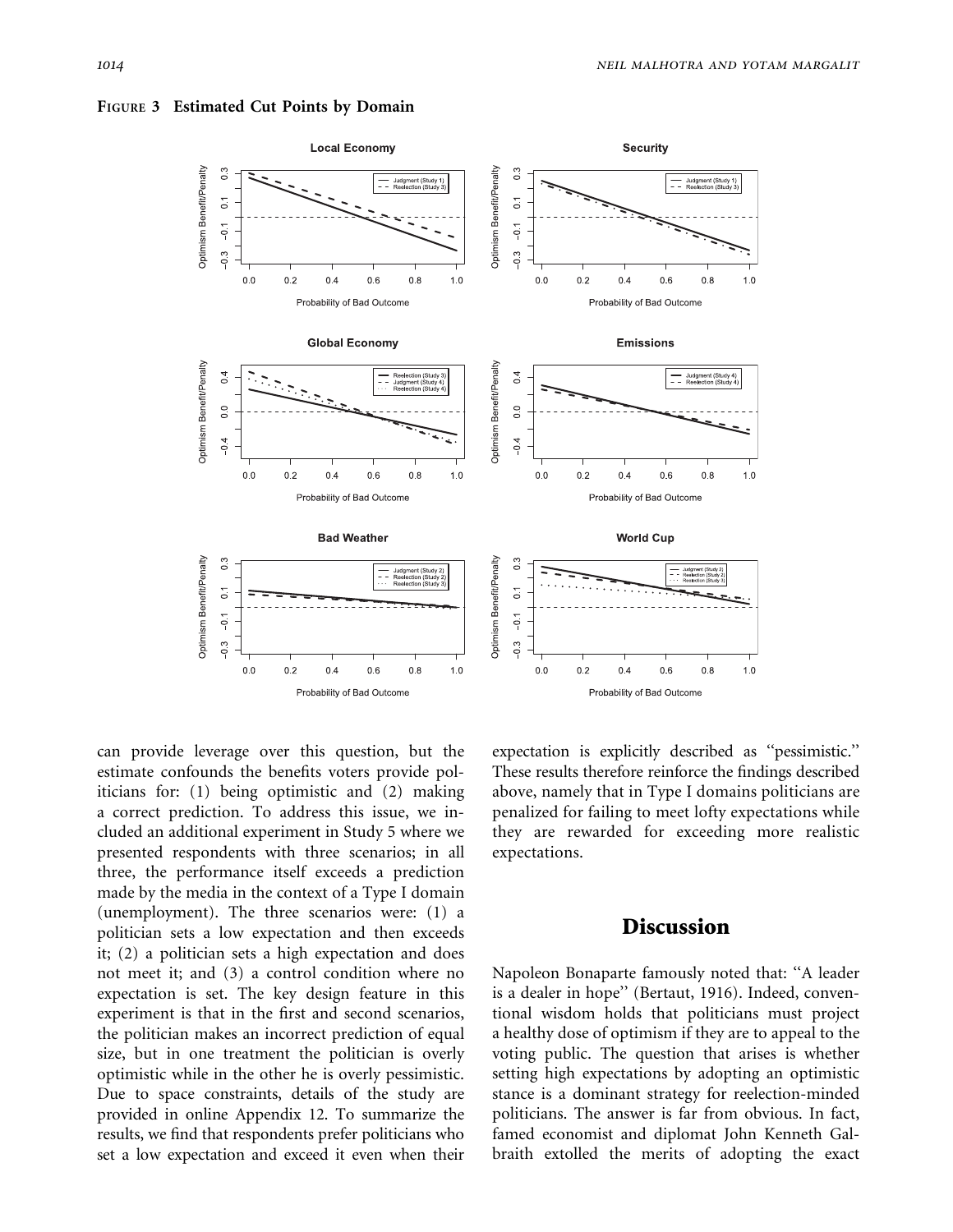

FIGURE 3 Estimated Cut Points by Domain

can provide leverage over this question, but the estimate confounds the benefits voters provide politicians for: (1) being optimistic and (2) making a correct prediction. To address this issue, we included an additional experiment in Study 5 where we presented respondents with three scenarios; in all three, the performance itself exceeds a prediction made by the media in the context of a Type I domain (unemployment). The three scenarios were: (1) a politician sets a low expectation and then exceeds it; (2) a politician sets a high expectation and does not meet it; and (3) a control condition where no expectation is set. The key design feature in this experiment is that in the first and second scenarios, the politician makes an incorrect prediction of equal size, but in one treatment the politician is overly optimistic while in the other he is overly pessimistic. Due to space constraints, details of the study are provided in online Appendix 12. To summarize the results, we find that respondents prefer politicians who set a low expectation and exceed it even when their expectation is explicitly described as ''pessimistic.'' These results therefore reinforce the findings described above, namely that in Type I domains politicians are penalized for failing to meet lofty expectations while they are rewarded for exceeding more realistic expectations.

# $\overline{\phantom{a}}$

Napoleon Bonaparte famously noted that: ''A leader is a dealer in hope'' (Bertaut, 1916). Indeed, conventional wisdom holds that politicians must project a healthy dose of optimism if they are to appeal to the voting public. The question that arises is whether setting high expectations by adopting an optimistic stance is a dominant strategy for reelection-minded politicians. The answer is far from obvious. In fact, famed economist and diplomat John Kenneth Galbraith extolled the merits of adopting the exact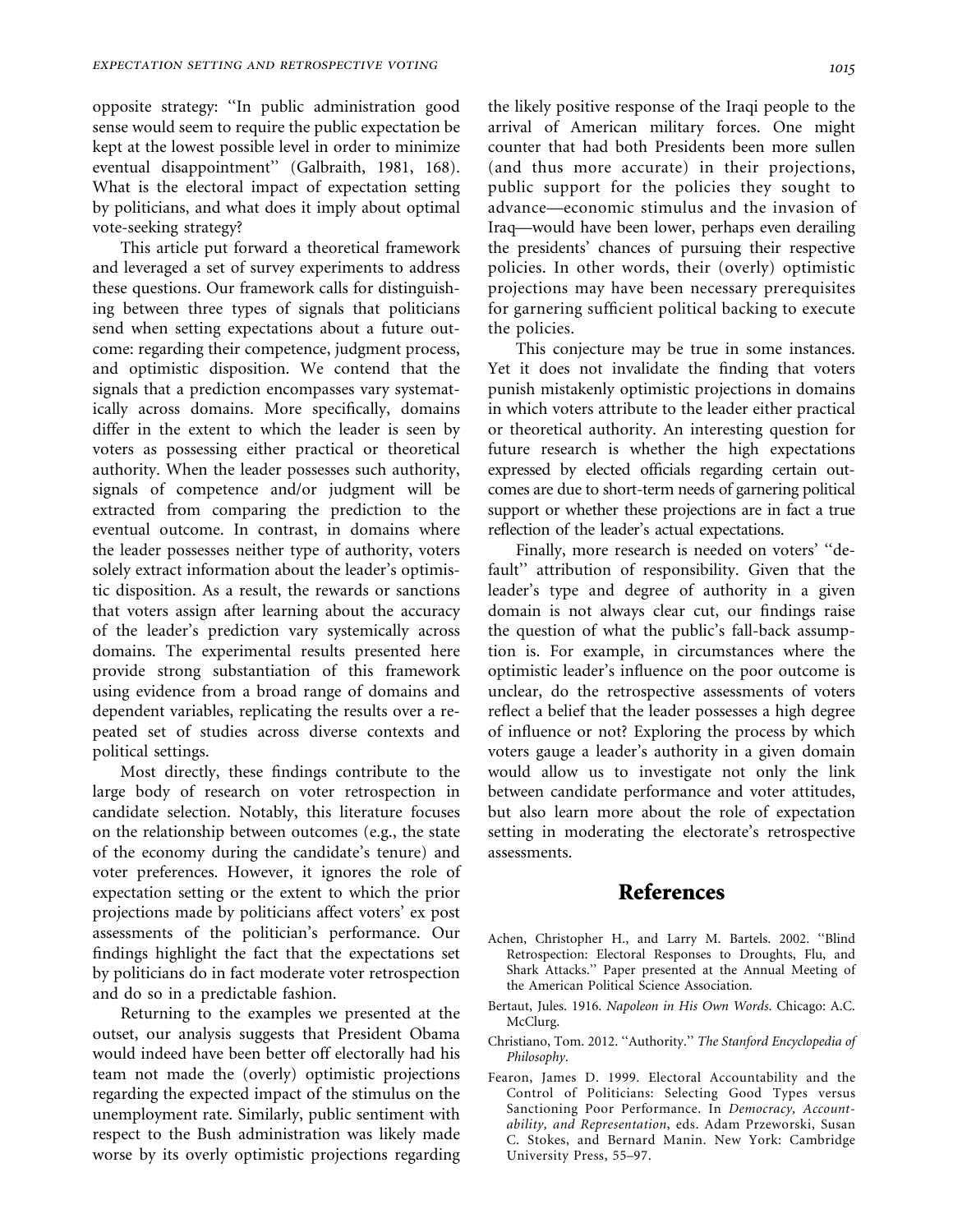opposite strategy: ''In public administration good sense would seem to require the public expectation be kept at the lowest possible level in order to minimize eventual disappointment'' (Galbraith, 1981, 168). What is the electoral impact of expectation setting by politicians, and what does it imply about optimal vote-seeking strategy?

This article put forward a theoretical framework and leveraged a set of survey experiments to address these questions. Our framework calls for distinguishing between three types of signals that politicians send when setting expectations about a future outcome: regarding their competence, judgment process, and optimistic disposition. We contend that the signals that a prediction encompasses vary systematically across domains. More specifically, domains differ in the extent to which the leader is seen by voters as possessing either practical or theoretical authority. When the leader possesses such authority, signals of competence and/or judgment will be extracted from comparing the prediction to the eventual outcome. In contrast, in domains where the leader possesses neither type of authority, voters solely extract information about the leader's optimistic disposition. As a result, the rewards or sanctions that voters assign after learning about the accuracy of the leader's prediction vary systemically across domains. The experimental results presented here provide strong substantiation of this framework using evidence from a broad range of domains and dependent variables, replicating the results over a repeated set of studies across diverse contexts and political settings.

Most directly, these findings contribute to the large body of research on voter retrospection in candidate selection. Notably, this literature focuses on the relationship between outcomes (e.g., the state of the economy during the candidate's tenure) and voter preferences. However, it ignores the role of expectation setting or the extent to which the prior projections made by politicians affect voters' ex post assessments of the politician's performance. Our findings highlight the fact that the expectations set by politicians do in fact moderate voter retrospection and do so in a predictable fashion.

Returning to the examples we presented at the outset, our analysis suggests that President Obama would indeed have been better off electorally had his team not made the (overly) optimistic projections regarding the expected impact of the stimulus on the unemployment rate. Similarly, public sentiment with respect to the Bush administration was likely made worse by its overly optimistic projections regarding the likely positive response of the Iraqi people to the arrival of American military forces. One might counter that had both Presidents been more sullen (and thus more accurate) in their projections, public support for the policies they sought to advance—economic stimulus and the invasion of Iraq—would have been lower, perhaps even derailing the presidents' chances of pursuing their respective policies. In other words, their (overly) optimistic projections may have been necessary prerequisites for garnering sufficient political backing to execute the policies.

This conjecture may be true in some instances. Yet it does not invalidate the finding that voters punish mistakenly optimistic projections in domains in which voters attribute to the leader either practical or theoretical authority. An interesting question for future research is whether the high expectations expressed by elected officials regarding certain outcomes are due to short-term needs of garnering political support or whether these projections are in fact a true reflection of the leader's actual expectations.

Finally, more research is needed on voters' ''default'' attribution of responsibility. Given that the leader's type and degree of authority in a given domain is not always clear cut, our findings raise the question of what the public's fall-back assumption is. For example, in circumstances where the optimistic leader's influence on the poor outcome is unclear, do the retrospective assessments of voters reflect a belief that the leader possesses a high degree of influence or not? Exploring the process by which voters gauge a leader's authority in a given domain would allow us to investigate not only the link between candidate performance and voter attitudes, but also learn more about the role of expectation setting in moderating the electorate's retrospective assessments.

### **References** <u>reference</u>

- Achen, Christopher H., and Larry M. Bartels. 2002. ''Blind Retrospection: Electoral Responses to Droughts, Flu, and Shark Attacks.'' Paper presented at the Annual Meeting of the American Political Science Association.
- Bertaut, Jules. 1916. Napoleon in His Own Words. Chicago: A.C. McClurg.
- Christiano, Tom. 2012. ''Authority.'' The Stanford Encyclopedia of Philosophy.
- Fearon, James D. 1999. Electoral Accountability and the Control of Politicians: Selecting Good Types versus Sanctioning Poor Performance. In Democracy, Accountability, and Representation, eds. Adam Przeworski, Susan C. Stokes, and Bernard Manin. New York: Cambridge University Press, 55–97.